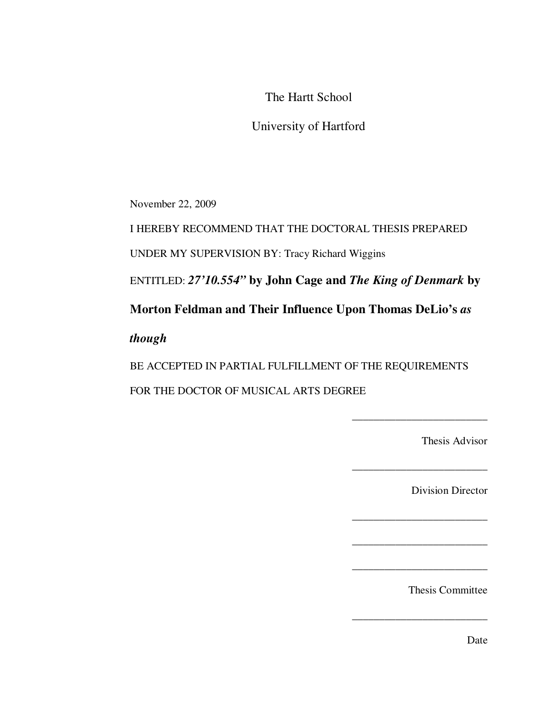The Hartt School

University of Hartford

November 22, 2009

I HEREBY RECOMMEND THAT THE DOCTORAL THESIS PREPARED

UNDER MY SUPERVISION BY: Tracy Richard Wiggins

ENTITLED: *27'10.554"* **by John Cage and** *The King of Denmark* **by** 

**Morton Feldman and Their Influence Upon Thomas DeLio's** *as* 

*though* 

BE ACCEPTED IN PARTIAL FULFILLMENT OF THE REQUIREMENTS FOR THE DOCTOR OF MUSICAL ARTS DEGREE

Thesis Advisor

\_\_\_\_\_\_\_\_\_\_\_\_\_\_\_\_\_\_\_\_\_\_\_\_\_

\_\_\_\_\_\_\_\_\_\_\_\_\_\_\_\_\_\_\_\_\_\_\_\_\_

\_\_\_\_\_\_\_\_\_\_\_\_\_\_\_\_\_\_\_\_\_\_\_\_\_

\_\_\_\_\_\_\_\_\_\_\_\_\_\_\_\_\_\_\_\_\_\_\_\_\_

\_\_\_\_\_\_\_\_\_\_\_\_\_\_\_\_\_\_\_\_\_\_\_\_\_

Division Director

Thesis Committee

 $\frac{1}{2}$  ,  $\frac{1}{2}$  ,  $\frac{1}{2}$  ,  $\frac{1}{2}$  ,  $\frac{1}{2}$  ,  $\frac{1}{2}$  ,  $\frac{1}{2}$  ,  $\frac{1}{2}$  ,  $\frac{1}{2}$  ,  $\frac{1}{2}$ 

Date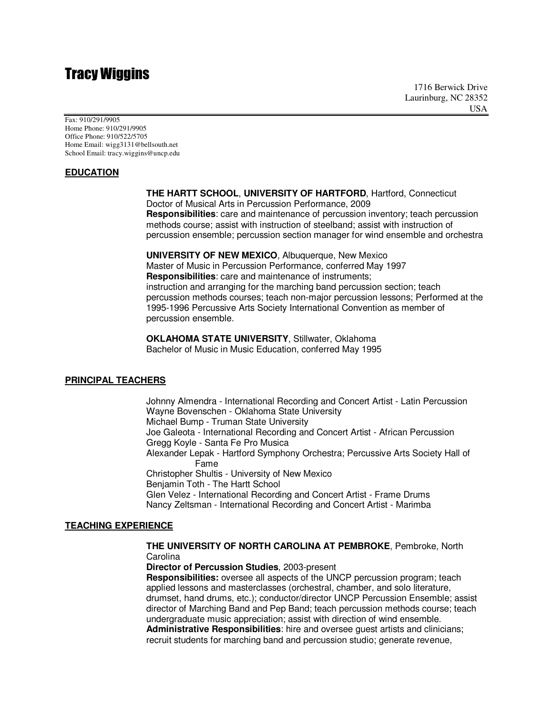# Tracy Wiggins

1716 Berwick Drive Laurinburg, NC 28352 USA

Fax: 910/291/9905 Home Phone: 910/291/9905 Office Phone: 910/522/5705 Home Email: wigg3131@bellsouth.net School Email: tracy.wiggins@uncp.edu

#### **EDUCATION**

**THE HARTT SCHOOL**, **UNIVERSITY OF HARTFORD**, Hartford, Connecticut Doctor of Musical Arts in Percussion Performance, 2009

**Responsibilities**: care and maintenance of percussion inventory; teach percussion methods course; assist with instruction of steelband; assist with instruction of percussion ensemble; percussion section manager for wind ensemble and orchestra

**UNIVERSITY OF NEW MEXICO**, Albuquerque, New Mexico Master of Music in Percussion Performance, conferred May 1997 **Responsibilities**: care and maintenance of instruments; instruction and arranging for the marching band percussion section; teach percussion methods courses; teach non-major percussion lessons; Performed at the 1995-1996 Percussive Arts Society International Convention as member of percussion ensemble.

**OKLAHOMA STATE UNIVERSITY**, Stillwater, Oklahoma Bachelor of Music in Music Education, conferred May 1995

#### **PRINCIPAL TEACHERS**

 Johnny Almendra - International Recording and Concert Artist - Latin Percussion Wayne Bovenschen - Oklahoma State University Michael Bump - Truman State University Joe Galeota - International Recording and Concert Artist - African Percussion Gregg Koyle - Santa Fe Pro Musica Alexander Lepak - Hartford Symphony Orchestra; Percussive Arts Society Hall of Fame Christopher Shultis - University of New Mexico Benjamin Toth - The Hartt School Glen Velez - International Recording and Concert Artist - Frame Drums Nancy Zeltsman - International Recording and Concert Artist - Marimba

#### **TEACHING EXPERIENCE**

 **THE UNIVERSITY OF NORTH CAROLINA AT PEMBROKE**, Pembroke, North **Carolina** 

**Director of Percussion Studies**, 2003-present

**Responsibilities:** oversee all aspects of the UNCP percussion program; teach applied lessons and masterclasses (orchestral, chamber, and solo literature, drumset, hand drums, etc.); conductor/director UNCP Percussion Ensemble; assist director of Marching Band and Pep Band; teach percussion methods course; teach undergraduate music appreciation; assist with direction of wind ensemble.  **Administrative Responsibilities**: hire and oversee guest artists and clinicians; recruit students for marching band and percussion studio; generate revenue,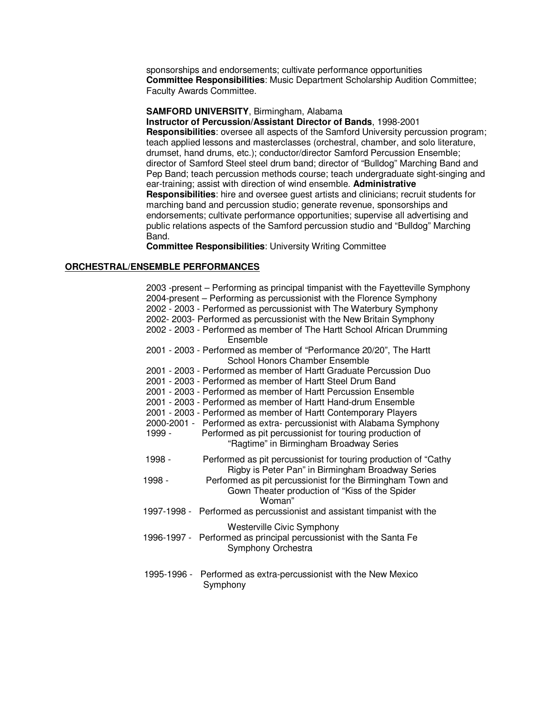sponsorships and endorsements; cultivate performance opportunities **Committee Responsibilities**: Music Department Scholarship Audition Committee; Faculty Awards Committee.

#### **SAMFORD UNIVERSITY**, Birmingham, Alabama

**Instructor of Percussion/Assistant Director of Bands**, 1998-2001 **Responsibilities**: oversee all aspects of the Samford University percussion program; teach applied lessons and masterclasses (orchestral, chamber, and solo literature, drumset, hand drums, etc.); conductor/director Samford Percussion Ensemble; director of Samford Steel steel drum band; director of "Bulldog" Marching Band and Pep Band; teach percussion methods course; teach undergraduate sight-singing and ear-training; assist with direction of wind ensemble. **Administrative Responsibilities**: hire and oversee guest artists and clinicians; recruit students for marching band and percussion studio; generate revenue, sponsorships and endorsements; cultivate performance opportunities; supervise all advertising and public relations aspects of the Samford percussion studio and "Bulldog" Marching Band.

**Committee Responsibilities**: University Writing Committee

#### **ORCHESTRAL/ENSEMBLE PERFORMANCES**

 2003 -present – Performing as principal timpanist with the Fayetteville Symphony 2004-present – Performing as percussionist with the Florence Symphony 2002 - 2003 - Performed as percussionist with The Waterbury Symphony 2002- 2003- Performed as percussionist with the New Britain Symphony 2002 - 2003 - Performed as member of The Hartt School African Drumming Ensemble 2001 - 2003 - Performed as member of "Performance 20/20", The Hartt School Honors Chamber Ensemble 2001 - 2003 - Performed as member of Hartt Graduate Percussion Duo 2001 - 2003 - Performed as member of Hartt Steel Drum Band 2001 - 2003 - Performed as member of Hartt Percussion Ensemble 2001 - 2003 - Performed as member of Hartt Hand-drum Ensemble 2001 - 2003 - Performed as member of Hartt Contemporary Players 2000-2001 - Performed as extra- percussionist with Alabama Symphony 1999 - Performed as pit percussionist for touring production of "Ragtime" in Birmingham Broadway Series 1998 - Performed as pit percussionist for touring production of "Cathy Rigby is Peter Pan" in Birmingham Broadway Series 1998 - Performed as pit percussionist for the Birmingham Town and Gown Theater production of "Kiss of the Spider Woman" 1997-1998 - Performed as percussionist and assistant timpanist with the Westerville Civic Symphony 1996-1997 - Performed as principal percussionist with the Santa Fe Symphony Orchestra 1995-1996 - Performed as extra-percussionist with the New Mexico Symphony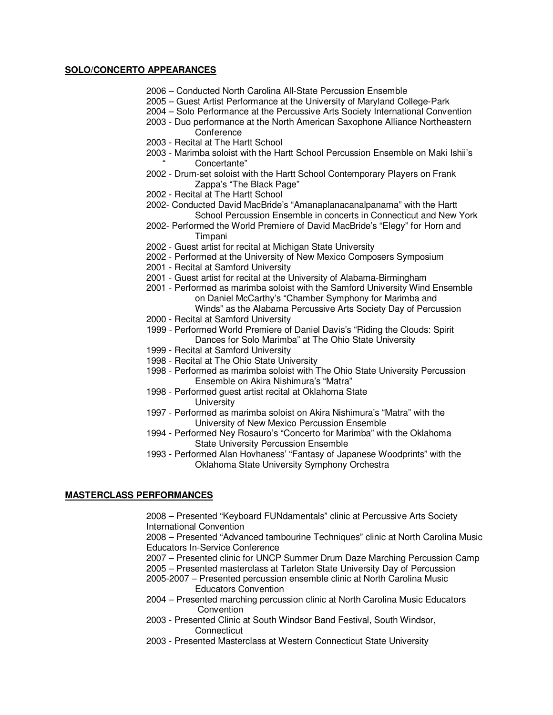#### **SOLO/CONCERTO APPEARANCES**

- 2006 Conducted North Carolina All-State Percussion Ensemble
- 2005 Guest Artist Performance at the University of Maryland College-Park
- 2004 Solo Performance at the Percussive Arts Society International Convention
- 2003 Duo performance at the North American Saxophone Alliance Northeastern **Conference**
- 2003 Recital at The Hartt School
- 2003 Marimba soloist with the Hartt School Percussion Ensemble on Maki Ishii's " Concertante"
- 2002 Drum-set soloist with the Hartt School Contemporary Players on Frank Zappa's "The Black Page"
- 2002 Recital at The Hartt School
- 2002- Conducted David MacBride's "Amanaplanacanalpanama" with the Hartt School Percussion Ensemble in concerts in Connecticut and New York
- 2002- Performed the World Premiere of David MacBride's "Elegy" for Horn and Timpani
- 2002 Guest artist for recital at Michigan State University
- 2002 Performed at the University of New Mexico Composers Symposium
- 2001 Recital at Samford University
- 2001 Guest artist for recital at the University of Alabama-Birmingham
- 2001 Performed as marimba soloist with the Samford University Wind Ensemble on Daniel McCarthy's "Chamber Symphony for Marimba and
	- Winds" as the Alabama Percussive Arts Society Day of Percussion
- 2000 Recital at Samford University
- 1999 Performed World Premiere of Daniel Davis's "Riding the Clouds: Spirit Dances for Solo Marimba" at The Ohio State University
- 1999 Recital at Samford University
- 1998 Recital at The Ohio State University
- 1998 Performed as marimba soloist with The Ohio State University Percussion Ensemble on Akira Nishimura's "Matra"
- 1998 Performed guest artist recital at Oklahoma State **University**
- 1997 Performed as marimba soloist on Akira Nishimura's "Matra" with the University of New Mexico Percussion Ensemble
- 1994 Performed Ney Rosauro's "Concerto for Marimba" with the Oklahoma State University Percussion Ensemble
- 1993 Performed Alan Hovhaness' "Fantasy of Japanese Woodprints" with the Oklahoma State University Symphony Orchestra

#### **MASTERCLASS PERFORMANCES**

2008 – Presented "Keyboard FUNdamentals" clinic at Percussive Arts Society International Convention

2008 – Presented "Advanced tambourine Techniques" clinic at North Carolina Music Educators In-Service Conference

- 2007 Presented clinic for UNCP Summer Drum Daze Marching Percussion Camp
- 2005 Presented masterclass at Tarleton State University Day of Percussion
- 2005-2007 Presented percussion ensemble clinic at North Carolina Music Educators Convention
- 2004 Presented marching percussion clinic at North Carolina Music Educators Convention
- 2003 Presented Clinic at South Windsor Band Festival, South Windsor, **Connecticut**
- 2003 Presented Masterclass at Western Connecticut State University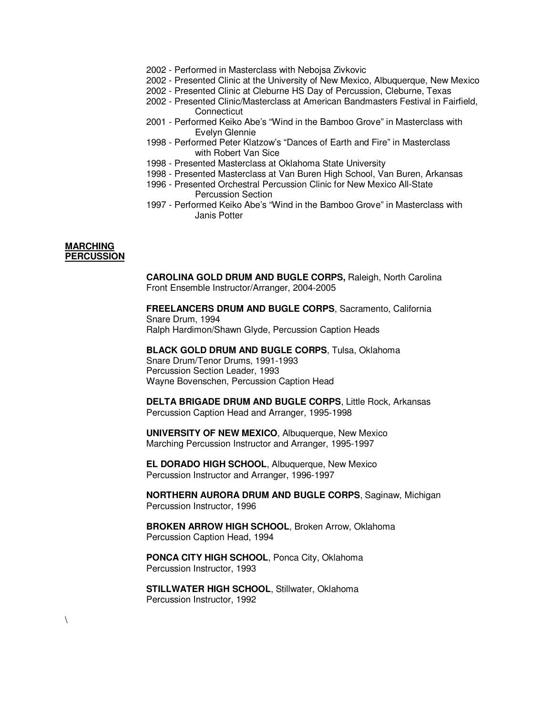- 2002 Performed in Masterclass with Nebojsa Zivkovic
- 2002 Presented Clinic at the University of New Mexico, Albuquerque, New Mexico
- 2002 Presented Clinic at Cleburne HS Day of Percussion, Cleburne, Texas
- 2002 Presented Clinic/Masterclass at American Bandmasters Festival in Fairfield, **Connecticut**
- 2001 Performed Keiko Abe's "Wind in the Bamboo Grove" in Masterclass with Evelyn Glennie
- 1998 Performed Peter Klatzow's "Dances of Earth and Fire" in Masterclass with Robert Van Sice
- 1998 Presented Masterclass at Oklahoma State University
- 1998 Presented Masterclass at Van Buren High School, Van Buren, Arkansas
- 1996 Presented Orchestral Percussion Clinic for New Mexico All-State Percussion Section
- 1997 Performed Keiko Abe's "Wind in the Bamboo Grove" in Masterclass with Janis Potter

#### **MARCHING PERCUSSION**

 $\setminus$ 

 **CAROLINA GOLD DRUM AND BUGLE CORPS,** Raleigh, North Carolina Front Ensemble Instructor/Arranger, 2004-2005

**FREELANCERS DRUM AND BUGLE CORPS**, Sacramento, California Snare Drum, 1994 Ralph Hardimon/Shawn Glyde, Percussion Caption Heads

**BLACK GOLD DRUM AND BUGLE CORPS**, Tulsa, Oklahoma Snare Drum/Tenor Drums, 1991-1993 Percussion Section Leader, 1993 Wayne Bovenschen, Percussion Caption Head

 **DELTA BRIGADE DRUM AND BUGLE CORPS**, Little Rock, Arkansas Percussion Caption Head and Arranger, 1995-1998

**UNIVERSITY OF NEW MEXICO**, Albuquerque, New Mexico Marching Percussion Instructor and Arranger, 1995-1997

**EL DORADO HIGH SCHOOL**, Albuquerque, New Mexico Percussion Instructor and Arranger, 1996-1997

**NORTHERN AURORA DRUM AND BUGLE CORPS**, Saginaw, Michigan Percussion Instructor, 1996

**BROKEN ARROW HIGH SCHOOL**, Broken Arrow, Oklahoma Percussion Caption Head, 1994

**PONCA CITY HIGH SCHOOL**, Ponca City, Oklahoma Percussion Instructor, 1993

**STILLWATER HIGH SCHOOL**, Stillwater, Oklahoma Percussion Instructor, 1992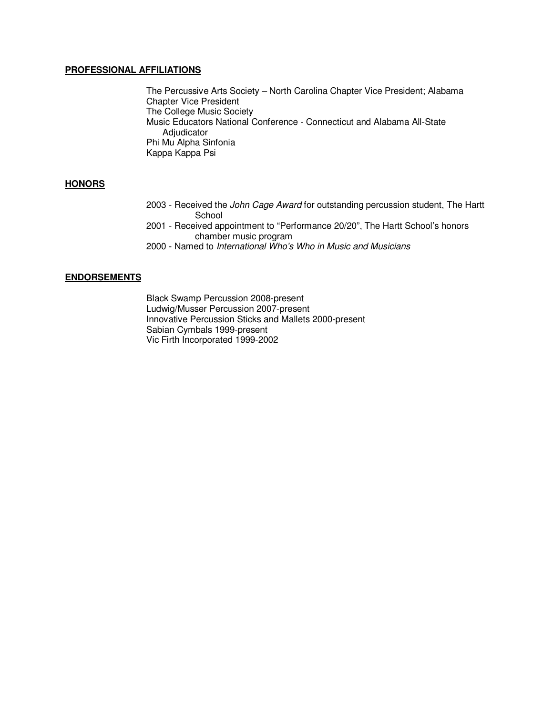#### **PROFESSIONAL AFFILIATIONS**

 The Percussive Arts Society – North Carolina Chapter Vice President; Alabama Chapter Vice President The College Music Society Music Educators National Conference - Connecticut and Alabama All-State Adjudicator Phi Mu Alpha Sinfonia Kappa Kappa Psi

### **HONORS**

- 2003 Received the John Cage Award for outstanding percussion student, The Hartt **School**
- 2001 Received appointment to "Performance 20/20", The Hartt School's honors chamber music program
- 2000 Named to International Who's Who in Music and Musicians

#### **ENDORSEMENTS**

 Black Swamp Percussion 2008-present Ludwig/Musser Percussion 2007-present Innovative Percussion Sticks and Mallets 2000-present Sabian Cymbals 1999-present Vic Firth Incorporated 1999-2002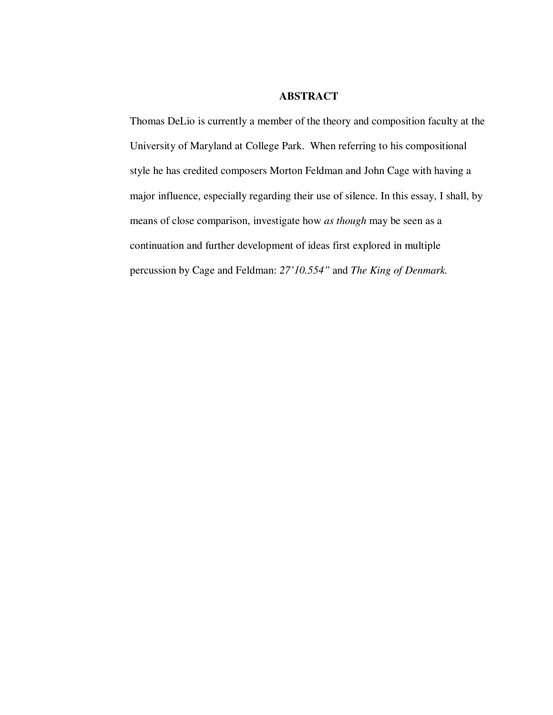## **ABSTRACT**

Thomas DeLio is currently a member of the theory and composition faculty at the University of Maryland at College Park. When referring to his compositional style he has credited composers Morton Feldman and John Cage with having a major influence, especially regarding their use of silence. In this essay, I shall, by means of close comparison, investigate how *as though* may be seen as a continuation and further development of ideas first explored in multiple percussion by Cage and Feldman: *27'10.554"* and *The King of Denmark.*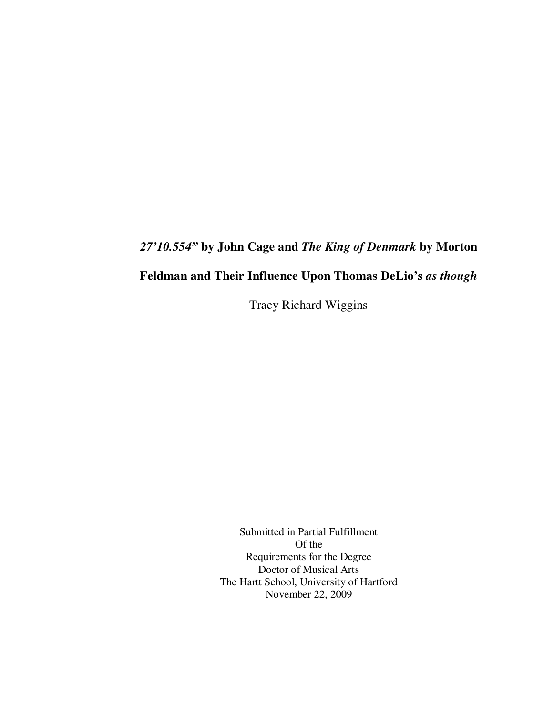# *27'10.554"* **by John Cage and** *The King of Denmark* **by Morton**

# **Feldman and Their Influence Upon Thomas DeLio's** *as though*

Tracy Richard Wiggins

Submitted in Partial Fulfillment Of the Requirements for the Degree Doctor of Musical Arts The Hartt School, University of Hartford November 22, 2009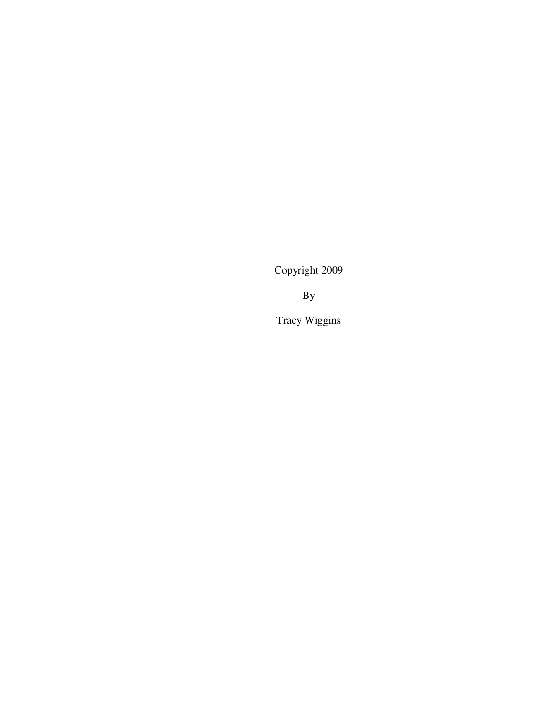Copyright 2009

By

Tracy Wiggins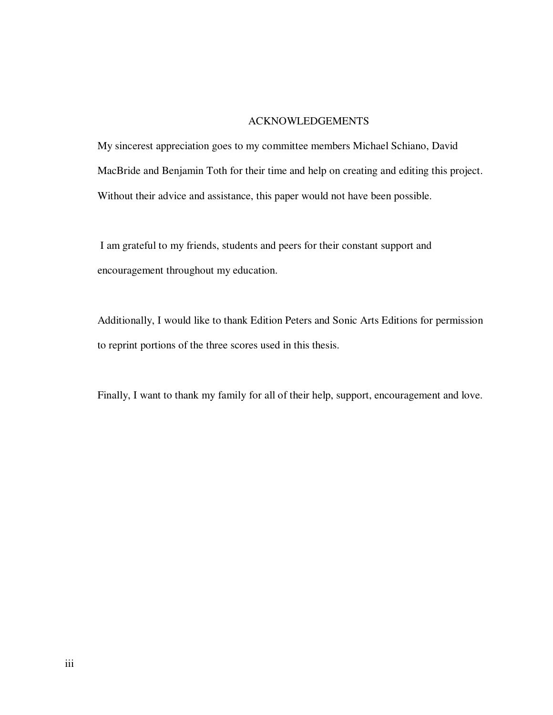### ACKNOWLEDGEMENTS

My sincerest appreciation goes to my committee members Michael Schiano, David MacBride and Benjamin Toth for their time and help on creating and editing this project. Without their advice and assistance, this paper would not have been possible.

 I am grateful to my friends, students and peers for their constant support and encouragement throughout my education.

Additionally, I would like to thank Edition Peters and Sonic Arts Editions for permission to reprint portions of the three scores used in this thesis.

Finally, I want to thank my family for all of their help, support, encouragement and love.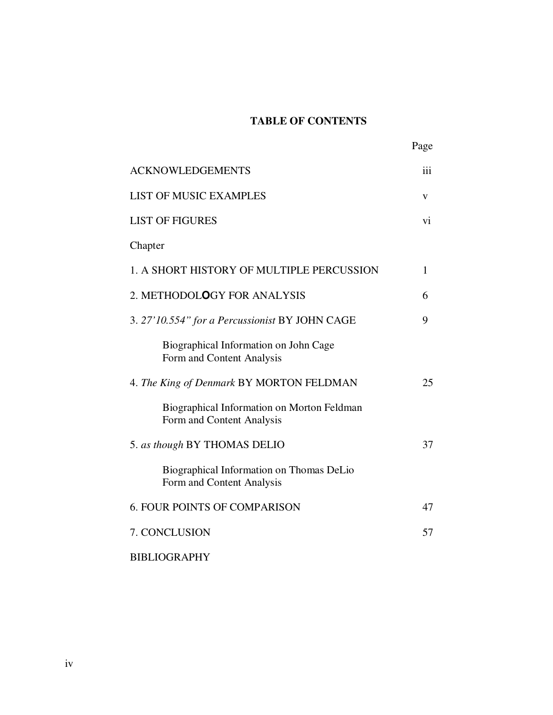## **TABLE OF CONTENTS**

|                                                                         | Page |
|-------------------------------------------------------------------------|------|
| <b>ACKNOWLEDGEMENTS</b>                                                 | iii  |
| <b>LIST OF MUSIC EXAMPLES</b>                                           | V    |
| <b>LIST OF FIGURES</b>                                                  | vi   |
| Chapter                                                                 |      |
| 1. A SHORT HISTORY OF MULTIPLE PERCUSSION                               | 1    |
| 2. METHODOLOGY FOR ANALYSIS                                             | 6    |
| 3. 27'10.554" for a Percussionist BY JOHN CAGE                          | 9    |
| Biographical Information on John Cage<br>Form and Content Analysis      |      |
| 4. The King of Denmark BY MORTON FELDMAN                                | 25   |
| Biographical Information on Morton Feldman<br>Form and Content Analysis |      |
| 5. as though BY THOMAS DELIO                                            | 37   |
| Biographical Information on Thomas DeLio<br>Form and Content Analysis   |      |
| <b>6. FOUR POINTS OF COMPARISON</b>                                     | 47   |
| 7. CONCLUSION                                                           | 57   |
| <b>BIBLIOGRAPHY</b>                                                     |      |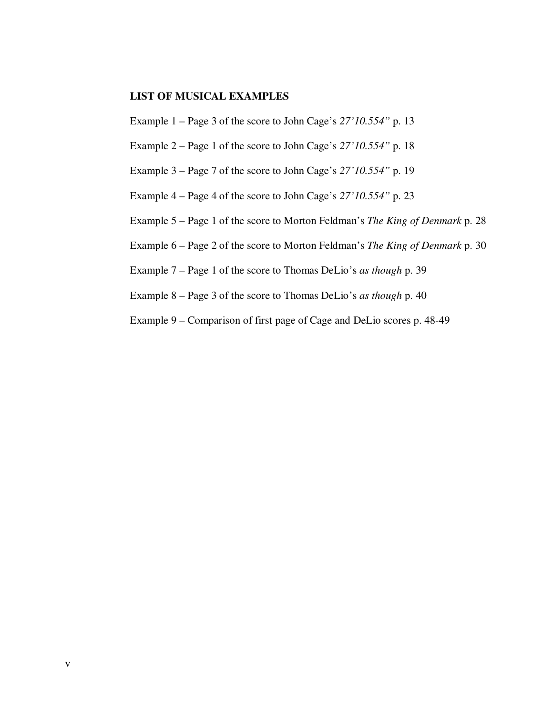## **LIST OF MUSICAL EXAMPLES**

Example 1 – Page 3 of the score to John Cage's *27'10.554"* p. 13

- Example 2 Page 1 of the score to John Cage's *27'10.554"* p. 18
- Example 3 Page 7 of the score to John Cage's *27'10.554"* p. 19
- Example 4 Page 4 of the score to John Cage's *27'10.554"* p. 23
- Example 5 Page 1 of the score to Morton Feldman's *The King of Denmark* p. 28
- Example 6 Page 2 of the score to Morton Feldman's *The King of Denmark* p. 30
- Example 7 Page 1 of the score to Thomas DeLio's *as though* p. 39
- Example 8 Page 3 of the score to Thomas DeLio's *as though* p. 40
- Example 9 Comparison of first page of Cage and DeLio scores p. 48-49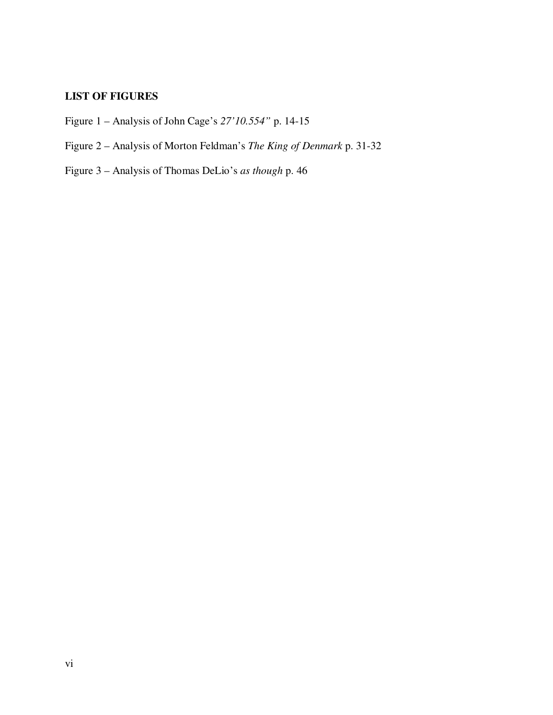## **LIST OF FIGURES**

- Figure 1 Analysis of John Cage's *27'10.554"* p. 14-15
- Figure 2 Analysis of Morton Feldman's *The King of Denmark* p. 31-32
- Figure 3 Analysis of Thomas DeLio's *as though* p. 46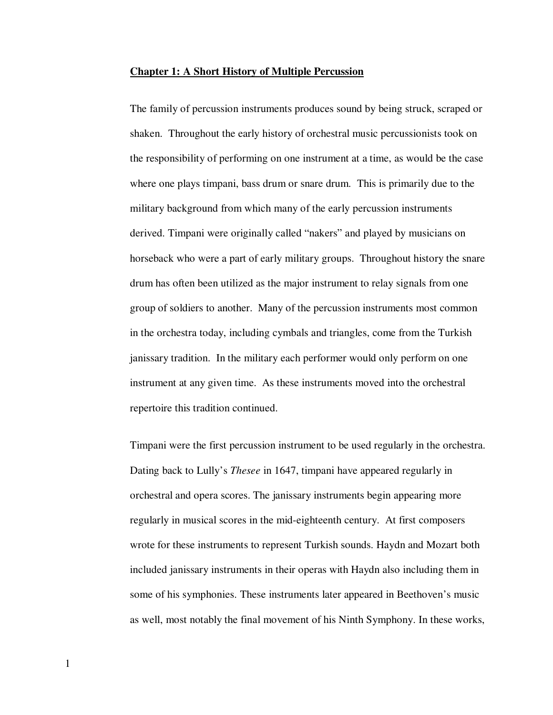#### **Chapter 1: A Short History of Multiple Percussion**

The family of percussion instruments produces sound by being struck, scraped or shaken. Throughout the early history of orchestral music percussionists took on the responsibility of performing on one instrument at a time, as would be the case where one plays timpani, bass drum or snare drum. This is primarily due to the military background from which many of the early percussion instruments derived. Timpani were originally called "nakers" and played by musicians on horseback who were a part of early military groups. Throughout history the snare drum has often been utilized as the major instrument to relay signals from one group of soldiers to another. Many of the percussion instruments most common in the orchestra today, including cymbals and triangles, come from the Turkish janissary tradition. In the military each performer would only perform on one instrument at any given time. As these instruments moved into the orchestral repertoire this tradition continued.

Timpani were the first percussion instrument to be used regularly in the orchestra. Dating back to Lully's *Thesee* in 1647, timpani have appeared regularly in orchestral and opera scores. The janissary instruments begin appearing more regularly in musical scores in the mid-eighteenth century. At first composers wrote for these instruments to represent Turkish sounds. Haydn and Mozart both included janissary instruments in their operas with Haydn also including them in some of his symphonies. These instruments later appeared in Beethoven's music as well, most notably the final movement of his Ninth Symphony. In these works,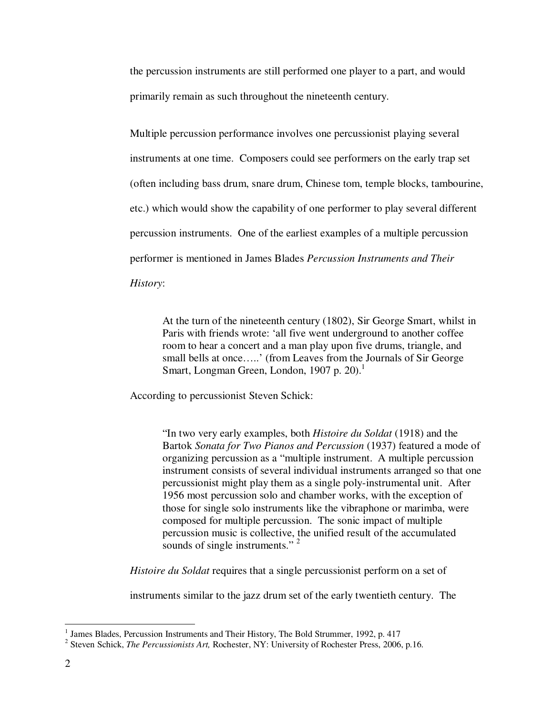the percussion instruments are still performed one player to a part, and would primarily remain as such throughout the nineteenth century.

Multiple percussion performance involves one percussionist playing several instruments at one time. Composers could see performers on the early trap set (often including bass drum, snare drum, Chinese tom, temple blocks, tambourine, etc.) which would show the capability of one performer to play several different percussion instruments. One of the earliest examples of a multiple percussion performer is mentioned in James Blades *Percussion Instruments and Their History*:

At the turn of the nineteenth century (1802), Sir George Smart, whilst in Paris with friends wrote: 'all five went underground to another coffee room to hear a concert and a man play upon five drums, triangle, and small bells at once.....' (from Leaves from the Journals of Sir George Smart, Longman Green, London, 1907 p. 20).<sup>1</sup>

According to percussionist Steven Schick:

"In two very early examples, both *Histoire du Soldat* (1918) and the Bartok *Sonata for Two Pianos and Percussion* (1937) featured a mode of organizing percussion as a "multiple instrument. A multiple percussion instrument consists of several individual instruments arranged so that one percussionist might play them as a single poly-instrumental unit. After 1956 most percussion solo and chamber works, with the exception of those for single solo instruments like the vibraphone or marimba, were composed for multiple percussion. The sonic impact of multiple percussion music is collective, the unified result of the accumulated sounds of single instruments."<sup>2</sup>

*Histoire du Soldat* requires that a single percussionist perform on a set of

instruments similar to the jazz drum set of the early twentieth century. The

<sup>&</sup>lt;sup>1</sup> James Blades, Percussion Instruments and Their History, The Bold Strummer, 1992, p. 417

<sup>2</sup> Steven Schick, *The Percussionists Art,* Rochester, NY: University of Rochester Press, 2006, p.16.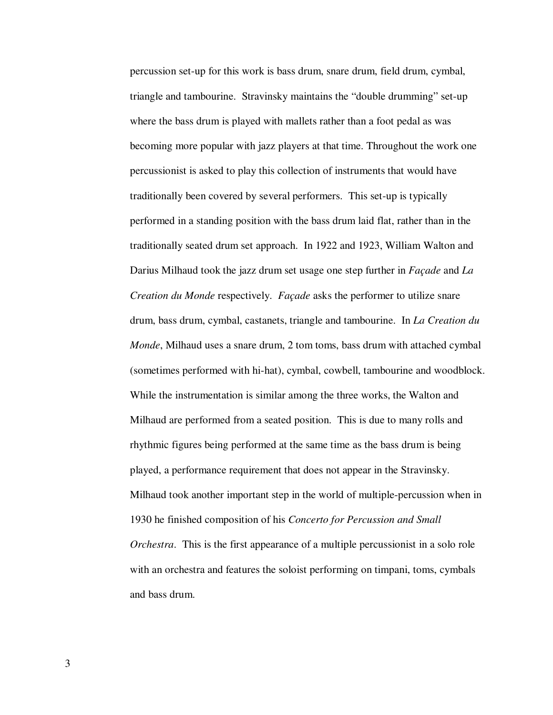percussion set-up for this work is bass drum, snare drum, field drum, cymbal, triangle and tambourine. Stravinsky maintains the "double drumming" set-up where the bass drum is played with mallets rather than a foot pedal as was becoming more popular with jazz players at that time. Throughout the work one percussionist is asked to play this collection of instruments that would have traditionally been covered by several performers. This set-up is typically performed in a standing position with the bass drum laid flat, rather than in the traditionally seated drum set approach. In 1922 and 1923, William Walton and Darius Milhaud took the jazz drum set usage one step further in *Façade* and *La Creation du Monde* respectively. *Façade* asks the performer to utilize snare drum, bass drum, cymbal, castanets, triangle and tambourine. In *La Creation du Monde*, Milhaud uses a snare drum, 2 tom toms, bass drum with attached cymbal (sometimes performed with hi-hat), cymbal, cowbell, tambourine and woodblock. While the instrumentation is similar among the three works, the Walton and Milhaud are performed from a seated position. This is due to many rolls and rhythmic figures being performed at the same time as the bass drum is being played, a performance requirement that does not appear in the Stravinsky. Milhaud took another important step in the world of multiple-percussion when in 1930 he finished composition of his *Concerto for Percussion and Small Orchestra*. This is the first appearance of a multiple percussionist in a solo role with an orchestra and features the soloist performing on timpani, toms, cymbals and bass drum.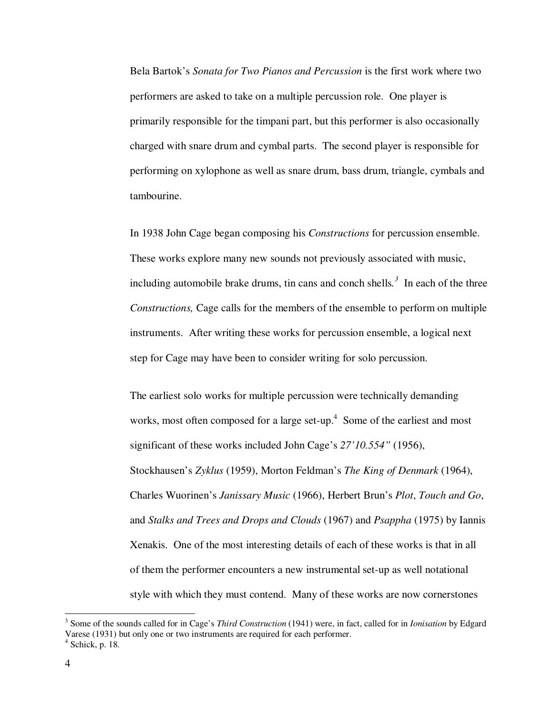Bela Bartok's *Sonata for Two Pianos and Percussion* is the first work where two performers are asked to take on a multiple percussion role. One player is primarily responsible for the timpani part, but this performer is also occasionally charged with snare drum and cymbal parts. The second player is responsible for performing on xylophone as well as snare drum, bass drum, triangle, cymbals and tambourine.

In 1938 John Cage began composing his *Constructions* for percussion ensemble. These works explore many new sounds not previously associated with music, including automobile brake drums, tin cans and conch shells.<sup>3</sup> In each of the three *Constructions,* Cage calls for the members of the ensemble to perform on multiple instruments. After writing these works for percussion ensemble, a logical next step for Cage may have been to consider writing for solo percussion.

The earliest solo works for multiple percussion were technically demanding works, most often composed for a large set-up.<sup>4</sup> Some of the earliest and most significant of these works included John Cage's *27'10.554"* (1956), Stockhausen's *Zyklus* (1959), Morton Feldman's *The King of Denmark* (1964), Charles Wuorinen's *Janissary Music* (1966), Herbert Brun's *Plot*, *Touch and Go*, and *Stalks and Trees and Drops and Clouds* (1967) and *Psappha* (1975) by Iannis Xenakis. One of the most interesting details of each of these works is that in all of them the performer encounters a new instrumental set-up as well notational style with which they must contend. Many of these works are now cornerstones

-

<sup>3</sup> Some of the sounds called for in Cage's *Third Construction* (1941) were, in fact, called for in *Ionisation* by Edgard Varese (1931) but only one or two instruments are required for each performer. 4 Schick, p. 18.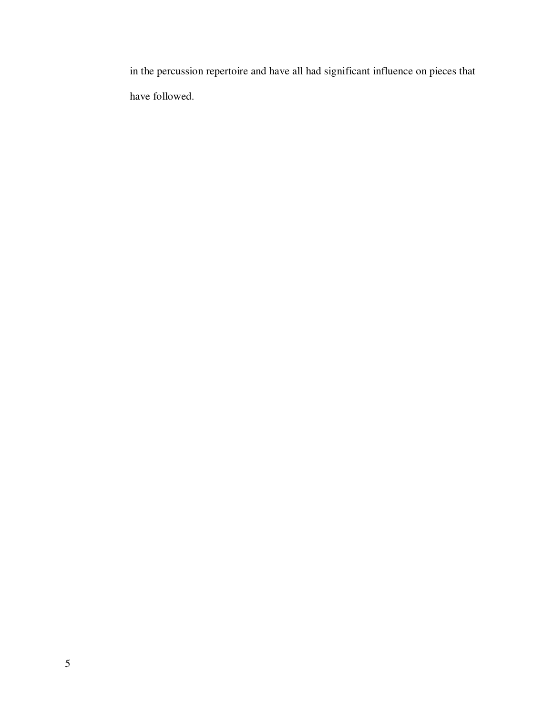in the percussion repertoire and have all had significant influence on pieces that have followed.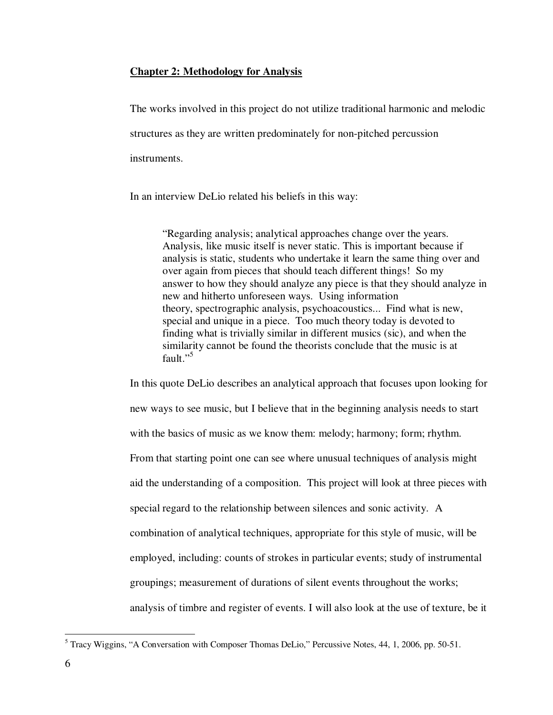## **Chapter 2: Methodology for Analysis**

The works involved in this project do not utilize traditional harmonic and melodic structures as they are written predominately for non-pitched percussion instruments.

In an interview DeLio related his beliefs in this way:

"Regarding analysis; analytical approaches change over the years. Analysis, like music itself is never static. This is important because if analysis is static, students who undertake it learn the same thing over and over again from pieces that should teach different things! So my answer to how they should analyze any piece is that they should analyze in new and hitherto unforeseen ways. Using information theory, spectrographic analysis, psychoacoustics... Find what is new, special and unique in a piece. Too much theory today is devoted to finding what is trivially similar in different musics (sic), and when the similarity cannot be found the theorists conclude that the music is at fault."<sup>5</sup>

In this quote DeLio describes an analytical approach that focuses upon looking for new ways to see music, but I believe that in the beginning analysis needs to start with the basics of music as we know them: melody; harmony; form; rhythm. From that starting point one can see where unusual techniques of analysis might aid the understanding of a composition. This project will look at three pieces with special regard to the relationship between silences and sonic activity. A combination of analytical techniques, appropriate for this style of music, will be employed, including: counts of strokes in particular events; study of instrumental groupings; measurement of durations of silent events throughout the works; analysis of timbre and register of events. I will also look at the use of texture, be it

Tracy Wiggins, "A Conversation with Composer Thomas DeLio," Percussive Notes, 44, 1, 2006, pp. 50-51.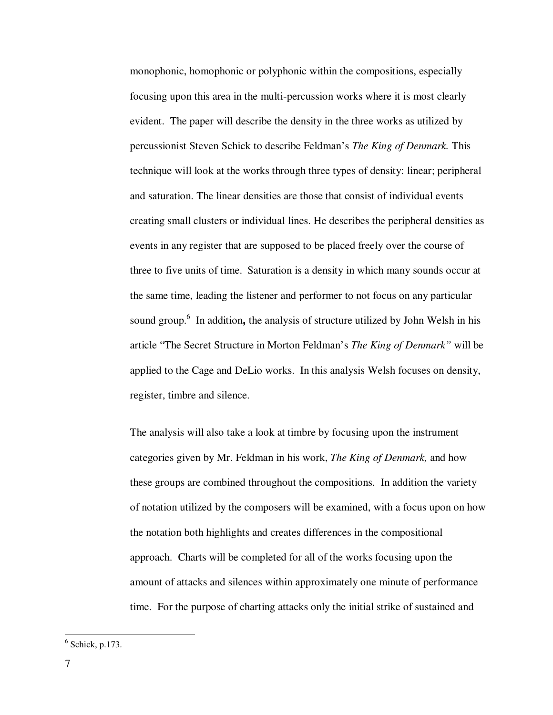monophonic, homophonic or polyphonic within the compositions, especially focusing upon this area in the multi-percussion works where it is most clearly evident. The paper will describe the density in the three works as utilized by percussionist Steven Schick to describe Feldman's *The King of Denmark.* This technique will look at the works through three types of density: linear; peripheral and saturation. The linear densities are those that consist of individual events creating small clusters or individual lines. He describes the peripheral densities as events in any register that are supposed to be placed freely over the course of three to five units of time. Saturation is a density in which many sounds occur at the same time, leading the listener and performer to not focus on any particular sound group.<sup>6</sup> In addition, the analysis of structure utilized by John Welsh in his article "The Secret Structure in Morton Feldman's *The King of Denmark"* will be applied to the Cage and DeLio works. In this analysis Welsh focuses on density, register, timbre and silence.

The analysis will also take a look at timbre by focusing upon the instrument categories given by Mr. Feldman in his work, *The King of Denmark,* and how these groups are combined throughout the compositions. In addition the variety of notation utilized by the composers will be examined, with a focus upon on how the notation both highlights and creates differences in the compositional approach. Charts will be completed for all of the works focusing upon the amount of attacks and silences within approximately one minute of performance time. For the purpose of charting attacks only the initial strike of sustained and

 $6$  Schick, p.173.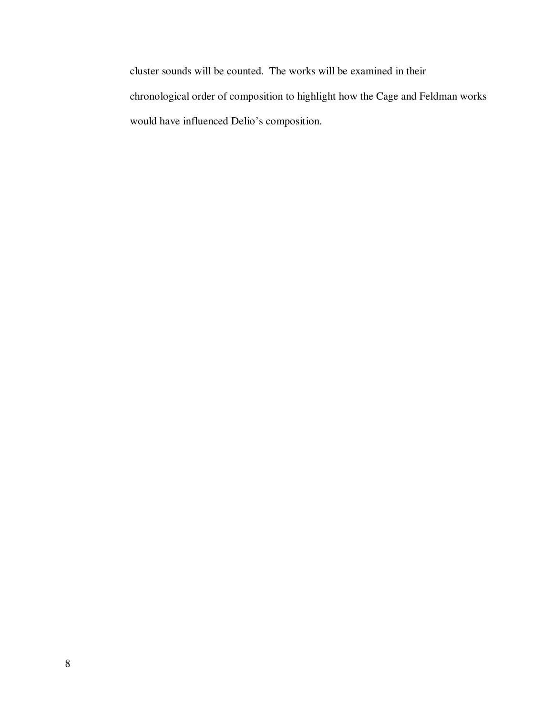cluster sounds will be counted. The works will be examined in their chronological order of composition to highlight how the Cage and Feldman works would have influenced Delio's composition.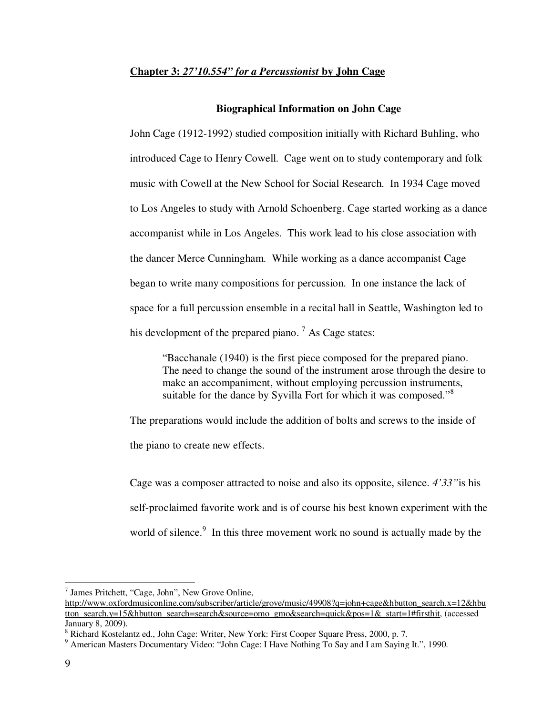### **Chapter 3:** *27'10.554" for a Percussionist* **by John Cage**

#### **Biographical Information on John Cage**

John Cage (1912-1992) studied composition initially with Richard Buhling, who introduced Cage to Henry Cowell. Cage went on to study contemporary and folk music with Cowell at the New School for Social Research. In 1934 Cage moved to Los Angeles to study with Arnold Schoenberg. Cage started working as a dance accompanist while in Los Angeles. This work lead to his close association with the dancer Merce Cunningham. While working as a dance accompanist Cage began to write many compositions for percussion. In one instance the lack of space for a full percussion ensemble in a recital hall in Seattle, Washington led to his development of the prepared piano.<sup>7</sup> As Cage states:

"Bacchanale (1940) is the first piece composed for the prepared piano. The need to change the sound of the instrument arose through the desire to make an accompaniment, without employing percussion instruments, suitable for the dance by Syvilla Fort for which it was composed."<sup>8</sup>

The preparations would include the addition of bolts and screws to the inside of the piano to create new effects.

Cage was a composer attracted to noise and also its opposite, silence. *4'33"*is his self-proclaimed favorite work and is of course his best known experiment with the world of silence.<sup>9</sup> In this three movement work no sound is actually made by the

-

<sup>7</sup> James Pritchett, "Cage, John", New Grove Online,

http://www.oxfordmusiconline.com/subscriber/article/grove/music/49908?q=john+cage&hbutton\_search.x=12&hbu tton\_search.y=15&hbutton\_search=search&source=omo\_gmo&search=quick&pos=1&\_start=1#firsthit, (accessed January 8, 2009).

<sup>&</sup>lt;sup>8</sup> Richard Kostelantz ed., John Cage: Writer, New York: First Cooper Square Press, 2000, p. 7.

<sup>&</sup>lt;sup>9</sup> American Masters Documentary Video: "John Cage: I Have Nothing To Say and I am Saying It.", 1990.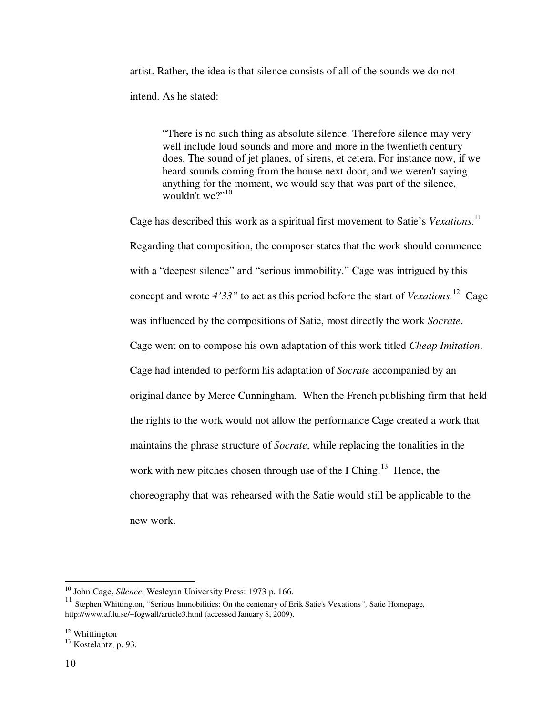artist. Rather, the idea is that silence consists of all of the sounds we do not intend. As he stated:

"There is no such thing as absolute silence. Therefore silence may very well include loud sounds and more and more in the twentieth century does. The sound of jet planes, of sirens, et cetera. For instance now, if we heard sounds coming from the house next door, and we weren't saying anything for the moment, we would say that was part of the silence, wouldn't we?"<sup>10</sup>

Cage has described this work as a spiritual first movement to Satie's *Vexations*. 11 Regarding that composition, the composer states that the work should commence with a "deepest silence" and "serious immobility." Cage was intrigued by this concept and wrote *4'33"* to act as this period before the start of *Vexations*. <sup>12</sup> Cage was influenced by the compositions of Satie, most directly the work *Socrate*. Cage went on to compose his own adaptation of this work titled *Cheap Imitation*. Cage had intended to perform his adaptation of *Socrate* accompanied by an original dance by Merce Cunningham. When the French publishing firm that held the rights to the work would not allow the performance Cage created a work that maintains the phrase structure of *Socrate*, while replacing the tonalities in the work with new pitches chosen through use of the  $I Ching$ <sup>13</sup>. Hence, the choreography that was rehearsed with the Satie would still be applicable to the new work.

-

<sup>10</sup> John Cage, *Silence*, Wesleyan University Press: 1973 p. 166.

<sup>11</sup> Stephen Whittington, "Serious Immobilities: On the centenary of Erik Satie's Vexations*",* Satie Homepage*,* http://www.af.lu.se/~fogwall/article3.html (accessed January 8, 2009).

<sup>&</sup>lt;sup>12</sup> Whittington

 $^{13}$  Kostelantz, p. 93.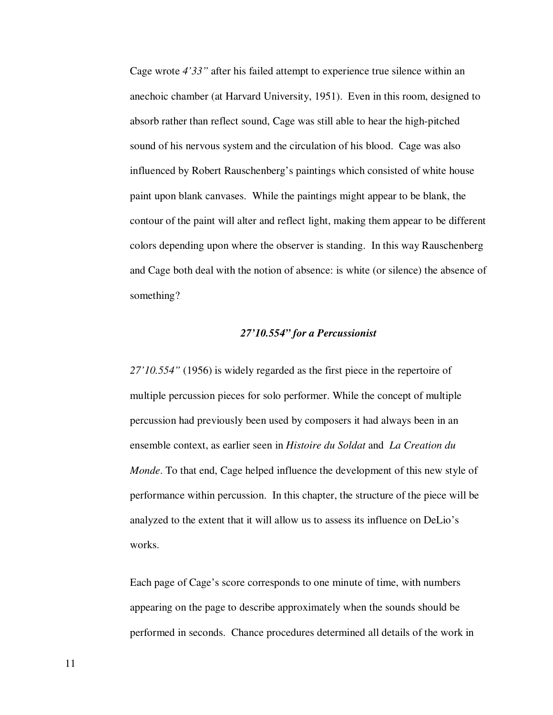Cage wrote *4'33"* after his failed attempt to experience true silence within an anechoic chamber (at Harvard University, 1951). Even in this room, designed to absorb rather than reflect sound, Cage was still able to hear the high-pitched sound of his nervous system and the circulation of his blood. Cage was also influenced by Robert Rauschenberg's paintings which consisted of white house paint upon blank canvases. While the paintings might appear to be blank, the contour of the paint will alter and reflect light, making them appear to be different colors depending upon where the observer is standing. In this way Rauschenberg and Cage both deal with the notion of absence: is white (or silence) the absence of something?

## *27'10.554" for a Percussionist*

*27'10.554"* (1956) is widely regarded as the first piece in the repertoire of multiple percussion pieces for solo performer. While the concept of multiple percussion had previously been used by composers it had always been in an ensemble context, as earlier seen in *Histoire du Soldat* and *La Creation du Monde*. To that end, Cage helped influence the development of this new style of performance within percussion. In this chapter, the structure of the piece will be analyzed to the extent that it will allow us to assess its influence on DeLio's works.

Each page of Cage's score corresponds to one minute of time, with numbers appearing on the page to describe approximately when the sounds should be performed in seconds. Chance procedures determined all details of the work in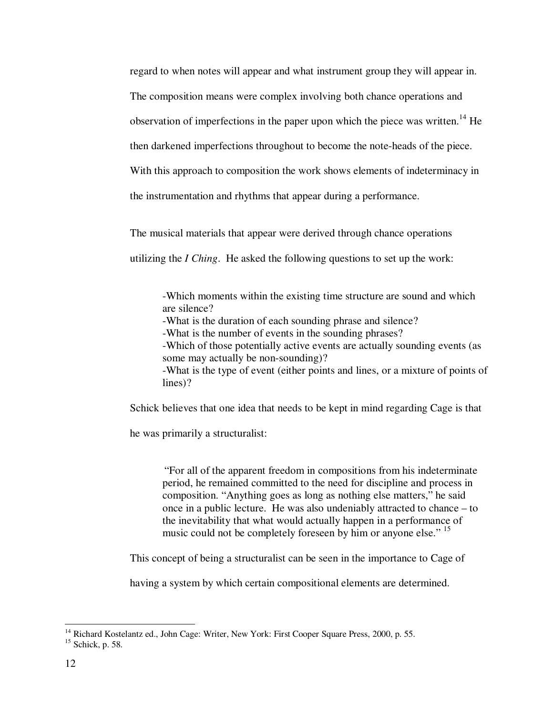regard to when notes will appear and what instrument group they will appear in. The composition means were complex involving both chance operations and observation of imperfections in the paper upon which the piece was written.<sup>14</sup> He then darkened imperfections throughout to become the note-heads of the piece. With this approach to composition the work shows elements of indeterminacy in the instrumentation and rhythms that appear during a performance.

The musical materials that appear were derived through chance operations

utilizing the *I Ching*. He asked the following questions to set up the work:

-Which moments within the existing time structure are sound and which are silence?

-What is the duration of each sounding phrase and silence?

-What is the number of events in the sounding phrases?

-Which of those potentially active events are actually sounding events (as some may actually be non-sounding)?

-What is the type of event (either points and lines, or a mixture of points of lines)?

Schick believes that one idea that needs to be kept in mind regarding Cage is that

he was primarily a structuralist:

"For all of the apparent freedom in compositions from his indeterminate period, he remained committed to the need for discipline and process in composition. "Anything goes as long as nothing else matters," he said once in a public lecture. He was also undeniably attracted to chance – to the inevitability that what would actually happen in a performance of music could not be completely foreseen by him or anyone else." <sup>15</sup>

This concept of being a structuralist can be seen in the importance to Cage of

having a system by which certain compositional elements are determined.

-

<sup>&</sup>lt;sup>14</sup> Richard Kostelantz ed., John Cage: Writer, New York: First Cooper Square Press, 2000, p. 55.

<sup>15</sup> Schick, p. 58.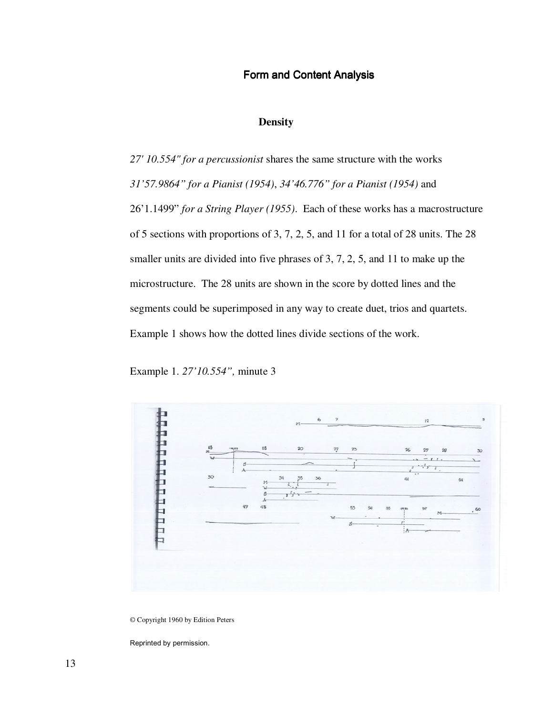## Form and Content Analysis

## **Density**

*27' 10.554" for a percussionist* shares the same structure with the works *31'57.9864" for a Pianist (1954)*, *34'46.776" for a Pianist (1954)* and 26'1.1499" *for a String Player (1955)*. Each of these works has a macrostructure of 5 sections with proportions of 3, 7, 2, 5, and 11 for a total of 28 units. The 28 smaller units are divided into five phrases of 3, 7, 2, 5, and 11 to make up the microstructure. The 28 units are shown in the score by dotted lines and the segments could be superimposed in any way to create duet, trios and quartets. Example 1 shows how the dotted lines divide sections of the work.

Example 1. *27'10.554",* minute 3



© Copyright 1960 by Edition Peters

Reprinted by permission.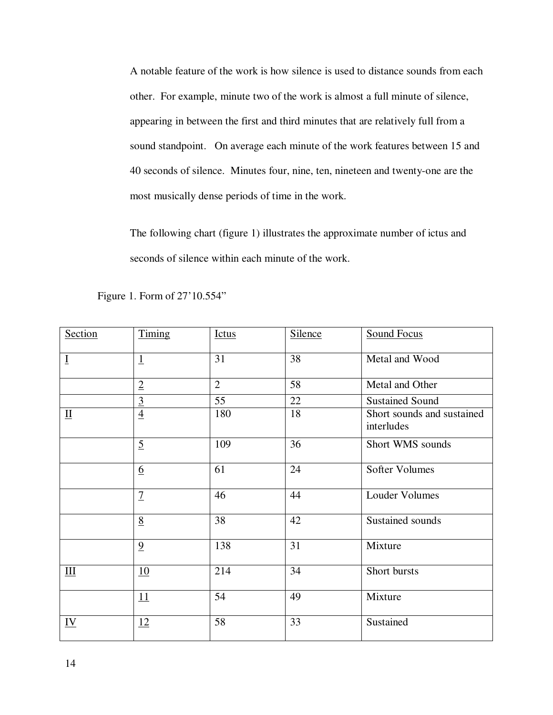A notable feature of the work is how silence is used to distance sounds from each other. For example, minute two of the work is almost a full minute of silence, appearing in between the first and third minutes that are relatively full from a sound standpoint. On average each minute of the work features between 15 and 40 seconds of silence. Minutes four, nine, ten, nineteen and twenty-one are the most musically dense periods of time in the work.

The following chart (figure 1) illustrates the approximate number of ictus and seconds of silence within each minute of the work.

| Section                   | Timing                      | <b>Ictus</b>   | <b>Silence</b> | <b>Sound Focus</b>                       |
|---------------------------|-----------------------------|----------------|----------------|------------------------------------------|
| $\bf{I}$                  | $\overline{1}$              | 31             | 38             | Metal and Wood                           |
|                           | $\overline{2}$              | $\overline{2}$ | 58             | Metal and Other                          |
|                           | $\underline{\underline{3}}$ | 55             | 22             | <b>Sustained Sound</b>                   |
| $\mathbf{\underline{II}}$ | $\overline{4}$              | 180            | 18             | Short sounds and sustained<br>interludes |
|                           | $\overline{5}$              | 109            | 36             | Short WMS sounds                         |
|                           | 6                           | 61             | 24             | <b>Softer Volumes</b>                    |
|                           | $\overline{1}$              | 46             | 44             | <b>Louder Volumes</b>                    |
|                           | 8                           | 38             | 42             | Sustained sounds                         |
|                           | $\overline{9}$              | 138            | 31             | Mixture                                  |
| III                       | 10                          | 214            | 34             | Short bursts                             |
|                           | 11                          | 54             | 49             | Mixture                                  |
| $\underline{\mathbf{IV}}$ | 12                          | 58             | 33             | Sustained                                |

Figure 1. Form of 27'10.554"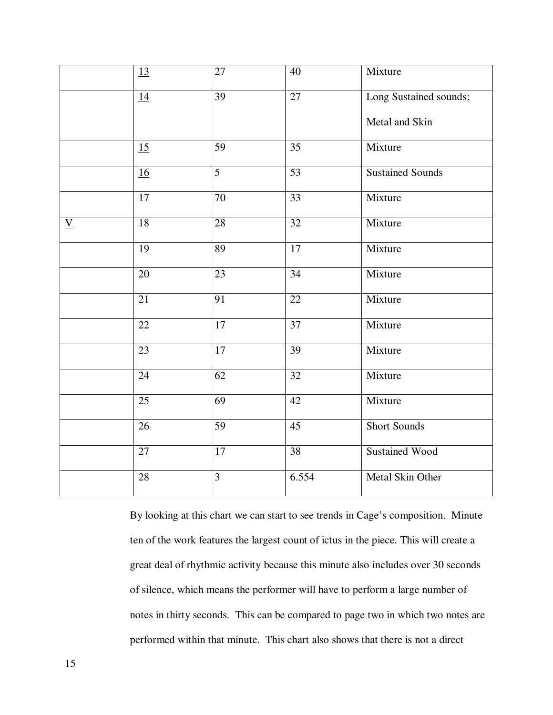|                          | <u>13</u>       | 27              | 40              | Mixture                 |
|--------------------------|-----------------|-----------------|-----------------|-------------------------|
|                          | 14              | 39              | $\overline{27}$ | Long Sustained sounds;  |
|                          |                 |                 |                 | Metal and Skin          |
|                          | 15              | 59              | 35              | Mixture                 |
|                          | 16              | $\overline{5}$  | $\overline{53}$ | <b>Sustained Sounds</b> |
|                          | $\overline{17}$ | 70              | $\overline{33}$ | Mixture                 |
| $\underline{\mathbf{V}}$ | $\overline{18}$ | $\overline{28}$ | $\overline{32}$ | Mixture                 |
|                          | 19              | 89              | 17              | Mixture                 |
|                          | 20              | $\overline{23}$ | $\overline{34}$ | Mixture                 |
|                          | 21              | 91              | 22              | Mixture                 |
|                          | $\overline{22}$ | $\overline{17}$ | $\overline{37}$ | Mixture                 |
|                          | $\overline{23}$ | $\overline{17}$ | $\overline{39}$ | Mixture                 |
|                          | 24              | 62              | 32              | Mixture                 |
|                          | 25              | 69              | 42              | Mixture                 |
|                          | 26              | 59              | 45              | <b>Short Sounds</b>     |
|                          | $\overline{27}$ | $\overline{17}$ | $\overline{38}$ | <b>Sustained Wood</b>   |
|                          | 28              | $\overline{3}$  | 6.554           | Metal Skin Other        |

By looking at this chart we can start to see trends in Cage's composition. Minute ten of the work features the largest count of ictus in the piece. This will create a great deal of rhythmic activity because this minute also includes over 30 seconds of silence, which means the performer will have to perform a large number of notes in thirty seconds. This can be compared to page two in which two notes are performed within that minute. This chart also shows that there is not a direct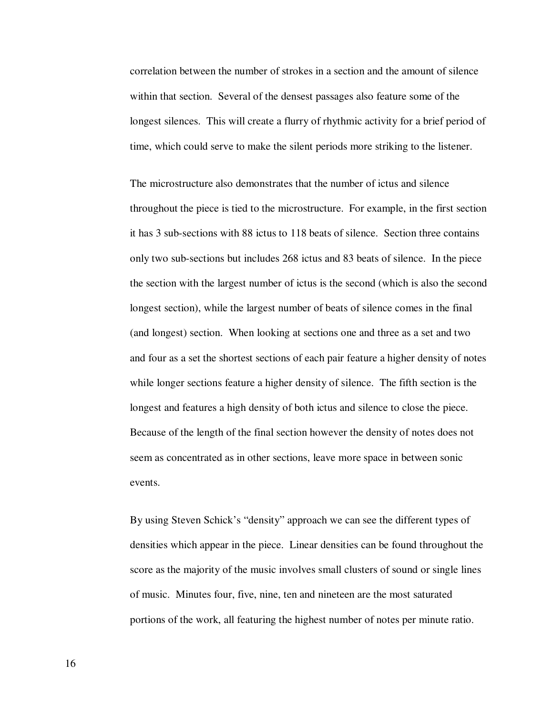correlation between the number of strokes in a section and the amount of silence within that section. Several of the densest passages also feature some of the longest silences. This will create a flurry of rhythmic activity for a brief period of time, which could serve to make the silent periods more striking to the listener.

The microstructure also demonstrates that the number of ictus and silence throughout the piece is tied to the microstructure. For example, in the first section it has 3 sub-sections with 88 ictus to 118 beats of silence. Section three contains only two sub-sections but includes 268 ictus and 83 beats of silence. In the piece the section with the largest number of ictus is the second (which is also the second longest section), while the largest number of beats of silence comes in the final (and longest) section. When looking at sections one and three as a set and two and four as a set the shortest sections of each pair feature a higher density of notes while longer sections feature a higher density of silence. The fifth section is the longest and features a high density of both ictus and silence to close the piece. Because of the length of the final section however the density of notes does not seem as concentrated as in other sections, leave more space in between sonic events.

By using Steven Schick's "density" approach we can see the different types of densities which appear in the piece. Linear densities can be found throughout the score as the majority of the music involves small clusters of sound or single lines of music. Minutes four, five, nine, ten and nineteen are the most saturated portions of the work, all featuring the highest number of notes per minute ratio.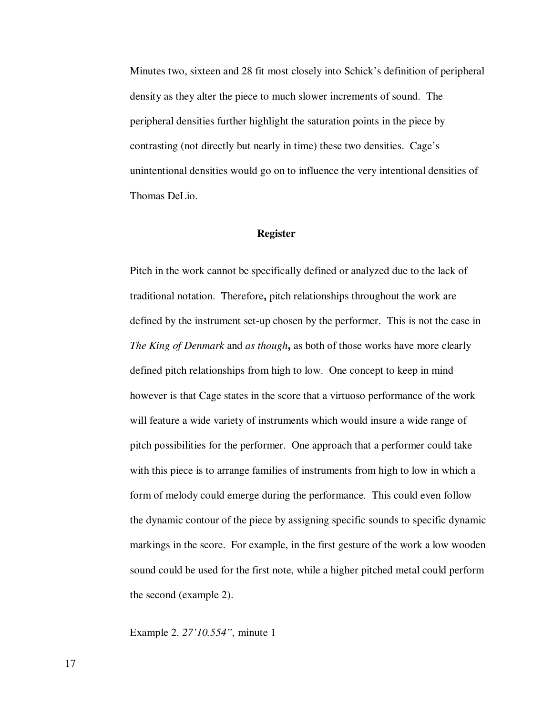Minutes two, sixteen and 28 fit most closely into Schick's definition of peripheral density as they alter the piece to much slower increments of sound. The peripheral densities further highlight the saturation points in the piece by contrasting (not directly but nearly in time) these two densities. Cage's unintentional densities would go on to influence the very intentional densities of Thomas DeLio.

### **Register**

Pitch in the work cannot be specifically defined or analyzed due to the lack of traditional notation. Therefore**,** pitch relationships throughout the work are defined by the instrument set-up chosen by the performer. This is not the case in *The King of Denmark* and *as though***,** as both of those works have more clearly defined pitch relationships from high to low. One concept to keep in mind however is that Cage states in the score that a virtuoso performance of the work will feature a wide variety of instruments which would insure a wide range of pitch possibilities for the performer. One approach that a performer could take with this piece is to arrange families of instruments from high to low in which a form of melody could emerge during the performance. This could even follow the dynamic contour of the piece by assigning specific sounds to specific dynamic markings in the score. For example, in the first gesture of the work a low wooden sound could be used for the first note, while a higher pitched metal could perform the second (example 2).

Example 2. *27'10.554",* minute 1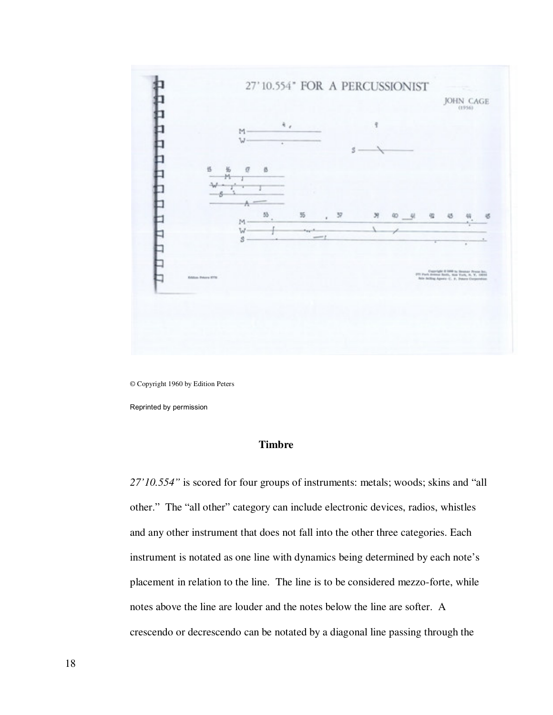

© Copyright 1960 by Edition Peters

Reprinted by permission

## **Timbre**

*27'10.554"* is scored for four groups of instruments: metals; woods; skins and "all other." The "all other" category can include electronic devices, radios, whistles and any other instrument that does not fall into the other three categories. Each instrument is notated as one line with dynamics being determined by each note's placement in relation to the line. The line is to be considered mezzo-forte, while notes above the line are louder and the notes below the line are softer. A crescendo or decrescendo can be notated by a diagonal line passing through the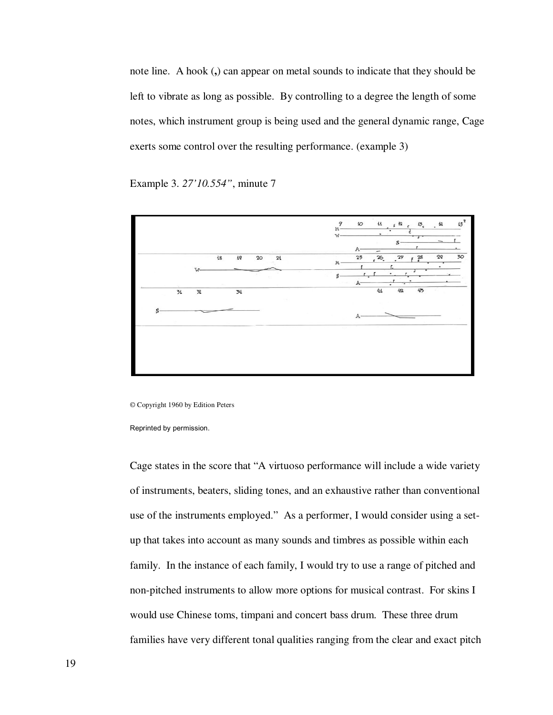note line. A hook (**,**) can appear on metal sounds to indicate that they should be left to vibrate as long as possible. By controlling to a degree the length of some notes, which instrument group is being used and the general dynamic range, Cage exerts some control over the resulting performance. (example 3)

Example 3. *27'10.554"*, minute 7



© Copyright 1960 by Edition Peters

Reprinted by permission.

Cage states in the score that "A virtuoso performance will include a wide variety of instruments, beaters, sliding tones, and an exhaustive rather than conventional use of the instruments employed." As a performer, I would consider using a setup that takes into account as many sounds and timbres as possible within each family. In the instance of each family, I would try to use a range of pitched and non-pitched instruments to allow more options for musical contrast. For skins I would use Chinese toms, timpani and concert bass drum. These three drum families have very different tonal qualities ranging from the clear and exact pitch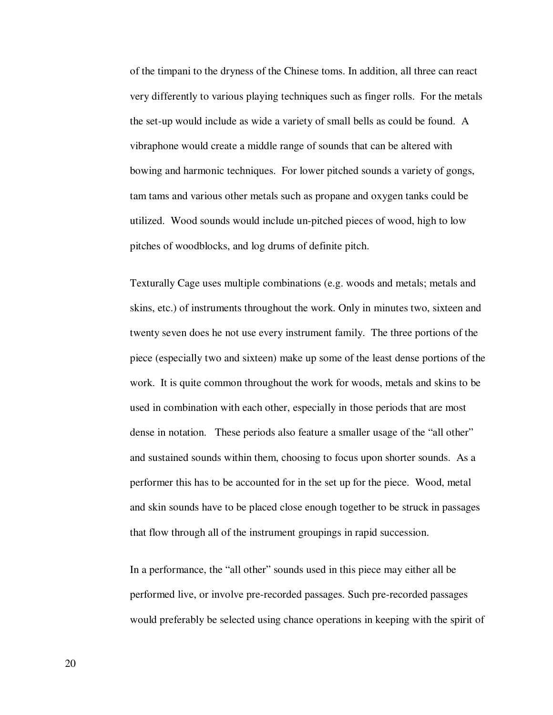of the timpani to the dryness of the Chinese toms. In addition, all three can react very differently to various playing techniques such as finger rolls. For the metals the set-up would include as wide a variety of small bells as could be found. A vibraphone would create a middle range of sounds that can be altered with bowing and harmonic techniques. For lower pitched sounds a variety of gongs, tam tams and various other metals such as propane and oxygen tanks could be utilized. Wood sounds would include un-pitched pieces of wood, high to low pitches of woodblocks, and log drums of definite pitch.

Texturally Cage uses multiple combinations (e.g. woods and metals; metals and skins, etc.) of instruments throughout the work. Only in minutes two, sixteen and twenty seven does he not use every instrument family. The three portions of the piece (especially two and sixteen) make up some of the least dense portions of the work. It is quite common throughout the work for woods, metals and skins to be used in combination with each other, especially in those periods that are most dense in notation. These periods also feature a smaller usage of the "all other" and sustained sounds within them, choosing to focus upon shorter sounds. As a performer this has to be accounted for in the set up for the piece. Wood, metal and skin sounds have to be placed close enough together to be struck in passages that flow through all of the instrument groupings in rapid succession.

In a performance, the "all other" sounds used in this piece may either all be performed live, or involve pre-recorded passages. Such pre-recorded passages would preferably be selected using chance operations in keeping with the spirit of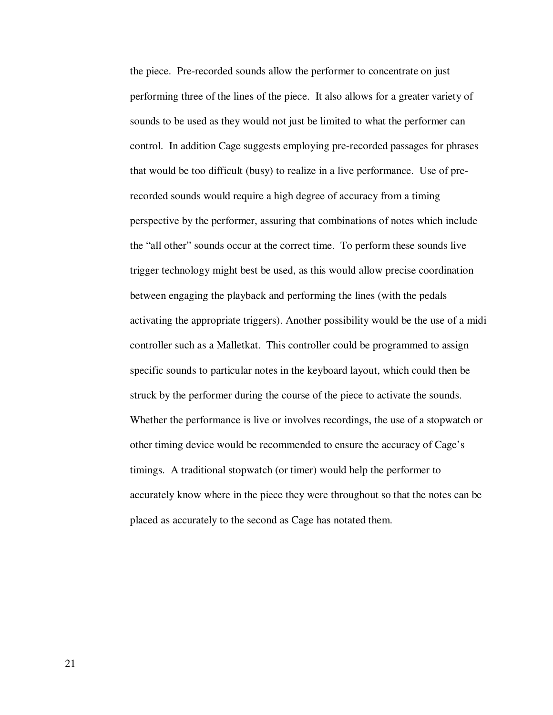the piece. Pre-recorded sounds allow the performer to concentrate on just performing three of the lines of the piece. It also allows for a greater variety of sounds to be used as they would not just be limited to what the performer can control. In addition Cage suggests employing pre-recorded passages for phrases that would be too difficult (busy) to realize in a live performance. Use of prerecorded sounds would require a high degree of accuracy from a timing perspective by the performer, assuring that combinations of notes which include the "all other" sounds occur at the correct time. To perform these sounds live trigger technology might best be used, as this would allow precise coordination between engaging the playback and performing the lines (with the pedals activating the appropriate triggers). Another possibility would be the use of a midi controller such as a Malletkat. This controller could be programmed to assign specific sounds to particular notes in the keyboard layout, which could then be struck by the performer during the course of the piece to activate the sounds. Whether the performance is live or involves recordings, the use of a stopwatch or other timing device would be recommended to ensure the accuracy of Cage's timings. A traditional stopwatch (or timer) would help the performer to accurately know where in the piece they were throughout so that the notes can be placed as accurately to the second as Cage has notated them.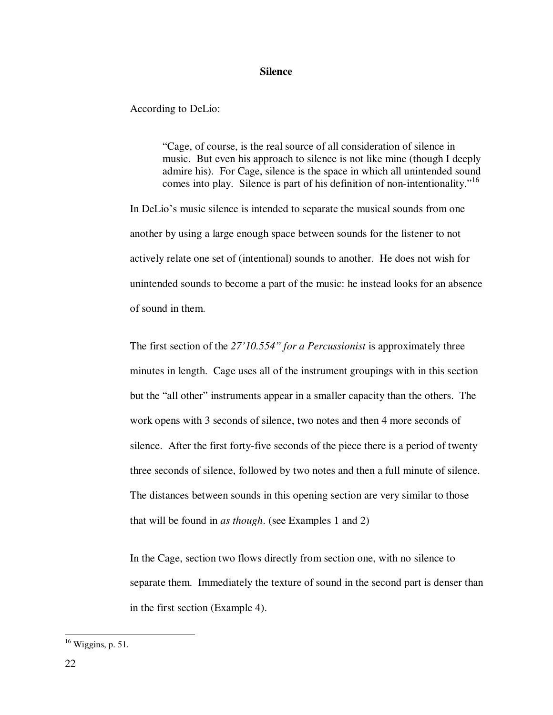#### **Silence**

According to DeLio:

"Cage, of course, is the real source of all consideration of silence in music. But even his approach to silence is not like mine (though I deeply admire his). For Cage, silence is the space in which all unintended sound comes into play. Silence is part of his definition of non-intentionality."<sup>16</sup>

In DeLio's music silence is intended to separate the musical sounds from one another by using a large enough space between sounds for the listener to not actively relate one set of (intentional) sounds to another. He does not wish for unintended sounds to become a part of the music: he instead looks for an absence of sound in them.

The first section of the *27'10.554" for a Percussionist* is approximately three minutes in length. Cage uses all of the instrument groupings with in this section but the "all other" instruments appear in a smaller capacity than the others. The work opens with 3 seconds of silence, two notes and then 4 more seconds of silence. After the first forty-five seconds of the piece there is a period of twenty three seconds of silence, followed by two notes and then a full minute of silence. The distances between sounds in this opening section are very similar to those that will be found in *as though*. (see Examples 1 and 2)

In the Cage, section two flows directly from section one, with no silence to separate them. Immediately the texture of sound in the second part is denser than in the first section (Example 4).

<sup>16</sup> Wiggins, p. 51.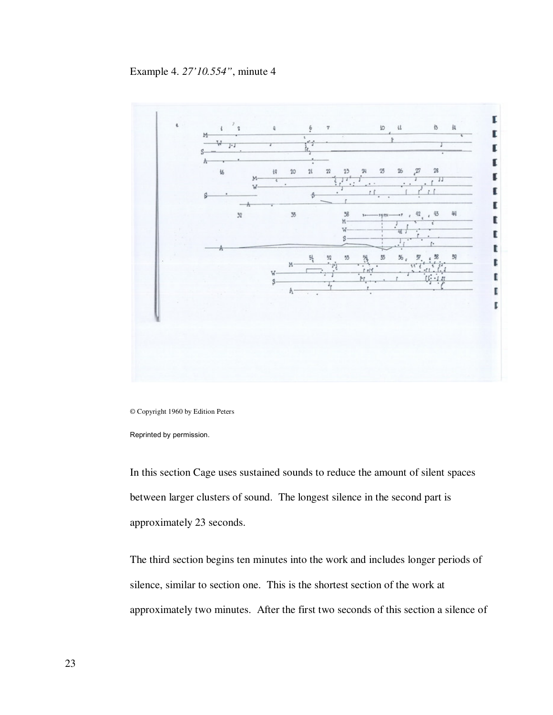# Example 4. *27'10.554"*, minute 4



© Copyright 1960 by Edition Peters

Reprinted by permission.

In this section Cage uses sustained sounds to reduce the amount of silent spaces between larger clusters of sound. The longest silence in the second part is approximately 23 seconds.

The third section begins ten minutes into the work and includes longer periods of silence, similar to section one. This is the shortest section of the work at approximately two minutes. After the first two seconds of this section a silence of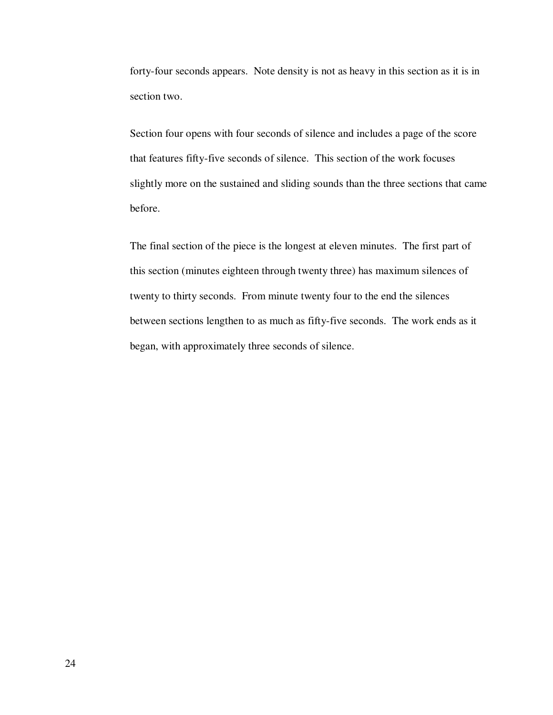forty-four seconds appears. Note density is not as heavy in this section as it is in section two.

Section four opens with four seconds of silence and includes a page of the score that features fifty-five seconds of silence. This section of the work focuses slightly more on the sustained and sliding sounds than the three sections that came before.

The final section of the piece is the longest at eleven minutes. The first part of this section (minutes eighteen through twenty three) has maximum silences of twenty to thirty seconds. From minute twenty four to the end the silences between sections lengthen to as much as fifty-five seconds. The work ends as it began, with approximately three seconds of silence.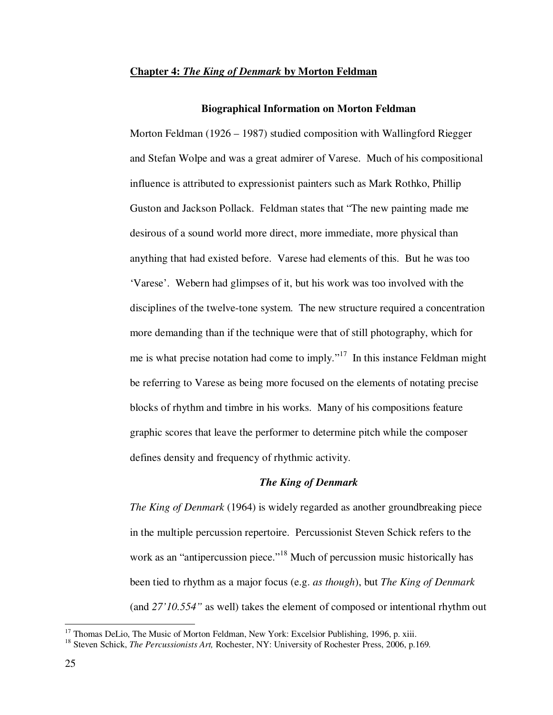#### **Chapter 4:** *The King of Denmark* **by Morton Feldman**

#### **Biographical Information on Morton Feldman**

Morton Feldman (1926 – 1987) studied composition with Wallingford Riegger and Stefan Wolpe and was a great admirer of Varese. Much of his compositional influence is attributed to expressionist painters such as Mark Rothko, Phillip Guston and Jackson Pollack. Feldman states that "The new painting made me desirous of a sound world more direct, more immediate, more physical than anything that had existed before. Varese had elements of this. But he was too 'Varese'. Webern had glimpses of it, but his work was too involved with the disciplines of the twelve-tone system. The new structure required a concentration more demanding than if the technique were that of still photography, which for me is what precise notation had come to imply."<sup>17</sup> In this instance Feldman might be referring to Varese as being more focused on the elements of notating precise blocks of rhythm and timbre in his works. Many of his compositions feature graphic scores that leave the performer to determine pitch while the composer defines density and frequency of rhythmic activity.

#### *The King of Denmark*

*The King of Denmark* (1964) is widely regarded as another groundbreaking piece in the multiple percussion repertoire. Percussionist Steven Schick refers to the work as an "antipercussion piece."<sup>18</sup> Much of percussion music historically has been tied to rhythm as a major focus (e.g. *as though*), but *The King of Denmark* (and *27'10.554"* as well) takes the element of composed or intentional rhythm out

<sup>&</sup>lt;sup>17</sup> Thomas DeLio, The Music of Morton Feldman, New York: Excelsior Publishing, 1996, p. xiii.

<sup>18</sup> Steven Schick, *The Percussionists Art,* Rochester, NY: University of Rochester Press, 2006, p.169*.*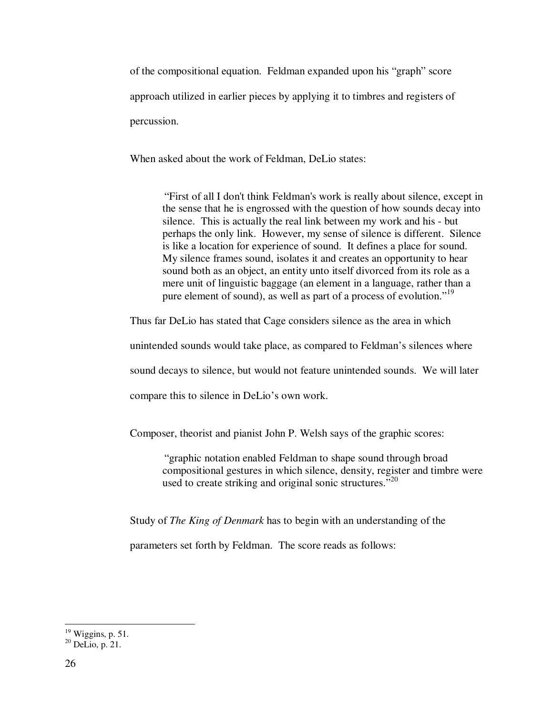of the compositional equation. Feldman expanded upon his "graph" score approach utilized in earlier pieces by applying it to timbres and registers of percussion.

When asked about the work of Feldman, DeLio states:

"First of all I don't think Feldman's work is really about silence, except in the sense that he is engrossed with the question of how sounds decay into silence. This is actually the real link between my work and his - but perhaps the only link. However, my sense of silence is different. Silence is like a location for experience of sound. It defines a place for sound. My silence frames sound, isolates it and creates an opportunity to hear sound both as an object, an entity unto itself divorced from its role as a mere unit of linguistic baggage (an element in a language, rather than a pure element of sound), as well as part of a process of evolution."<sup>19</sup>

Thus far DeLio has stated that Cage considers silence as the area in which

unintended sounds would take place, as compared to Feldman's silences where

sound decays to silence, but would not feature unintended sounds. We will later

compare this to silence in DeLio's own work.

Composer, theorist and pianist John P. Welsh says of the graphic scores:

"graphic notation enabled Feldman to shape sound through broad compositional gestures in which silence, density, register and timbre were used to create striking and original sonic structures."<sup>20</sup>

Study of *The King of Denmark* has to begin with an understanding of the

parameters set forth by Feldman. The score reads as follows:

<sup>-</sup> $19$  Wiggins, p. 51.

 $^{20}$  DeLio, p. 21.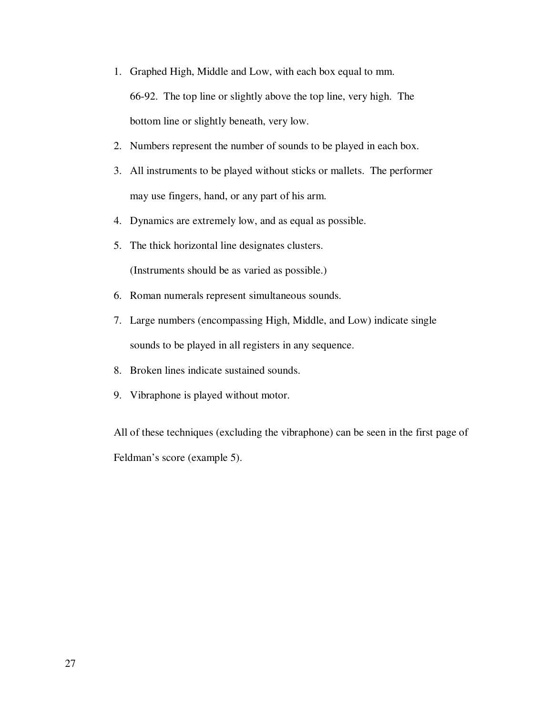- 1. Graphed High, Middle and Low, with each box equal to mm. 66-92. The top line or slightly above the top line, very high. The bottom line or slightly beneath, very low.
- 2. Numbers represent the number of sounds to be played in each box.
- 3. All instruments to be played without sticks or mallets. The performer may use fingers, hand, or any part of his arm.
- 4. Dynamics are extremely low, and as equal as possible.
- 5. The thick horizontal line designates clusters. (Instruments should be as varied as possible.)
- 6. Roman numerals represent simultaneous sounds.
- 7. Large numbers (encompassing High, Middle, and Low) indicate single sounds to be played in all registers in any sequence.
- 8. Broken lines indicate sustained sounds.
- 9. Vibraphone is played without motor.

All of these techniques (excluding the vibraphone) can be seen in the first page of Feldman's score (example 5).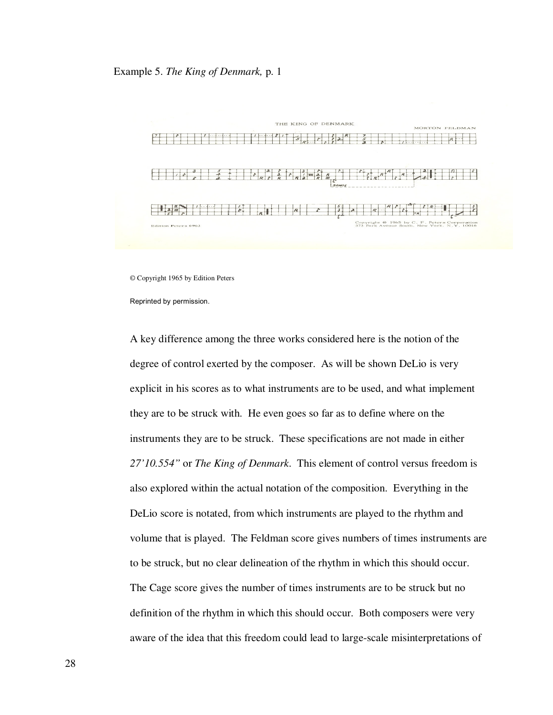

© Copyright 1965 by Edition Peters

Reprinted by permission.

A key difference among the three works considered here is the notion of the degree of control exerted by the composer. As will be shown DeLio is very explicit in his scores as to what instruments are to be used, and what implement they are to be struck with. He even goes so far as to define where on the instruments they are to be struck. These specifications are not made in either *27'10.554"* or *The King of Denmark*. This element of control versus freedom is also explored within the actual notation of the composition. Everything in the DeLio score is notated, from which instruments are played to the rhythm and volume that is played. The Feldman score gives numbers of times instruments are to be struck, but no clear delineation of the rhythm in which this should occur. The Cage score gives the number of times instruments are to be struck but no definition of the rhythm in which this should occur. Both composers were very aware of the idea that this freedom could lead to large-scale misinterpretations of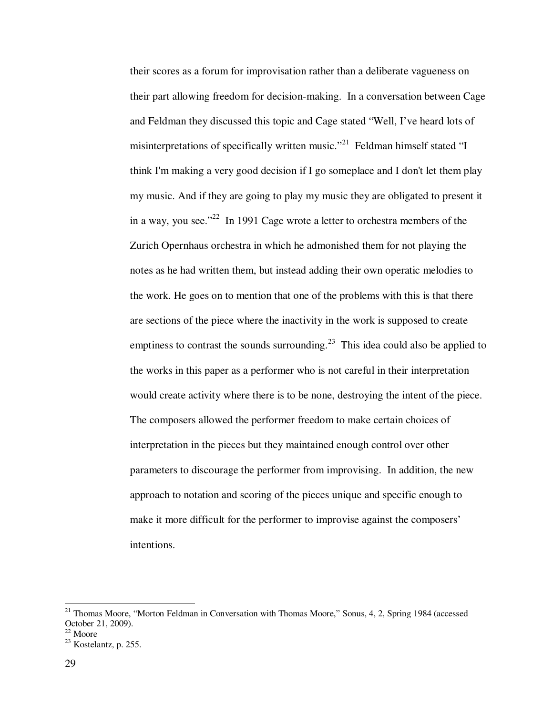their scores as a forum for improvisation rather than a deliberate vagueness on their part allowing freedom for decision-making. In a conversation between Cage and Feldman they discussed this topic and Cage stated "Well, I've heard lots of misinterpretations of specifically written music."<sup>21</sup> Feldman himself stated "I think I'm making a very good decision if I go someplace and I don't let them play my music. And if they are going to play my music they are obligated to present it in a way, you see."<sup>22</sup> In 1991 Cage wrote a letter to orchestra members of the Zurich Opernhaus orchestra in which he admonished them for not playing the notes as he had written them, but instead adding their own operatic melodies to the work. He goes on to mention that one of the problems with this is that there are sections of the piece where the inactivity in the work is supposed to create emptiness to contrast the sounds surrounding.<sup>23</sup> This idea could also be applied to the works in this paper as a performer who is not careful in their interpretation would create activity where there is to be none, destroying the intent of the piece. The composers allowed the performer freedom to make certain choices of interpretation in the pieces but they maintained enough control over other parameters to discourage the performer from improvising. In addition, the new approach to notation and scoring of the pieces unique and specific enough to make it more difficult for the performer to improvise against the composers' intentions.

<sup>&</sup>lt;sup>21</sup> Thomas Moore, "Morton Feldman in Conversation with Thomas Moore," Sonus, 4, 2, Spring 1984 (accessed October 21, 2009).

<sup>22</sup> Moore

 $23$  Kostelantz, p. 255.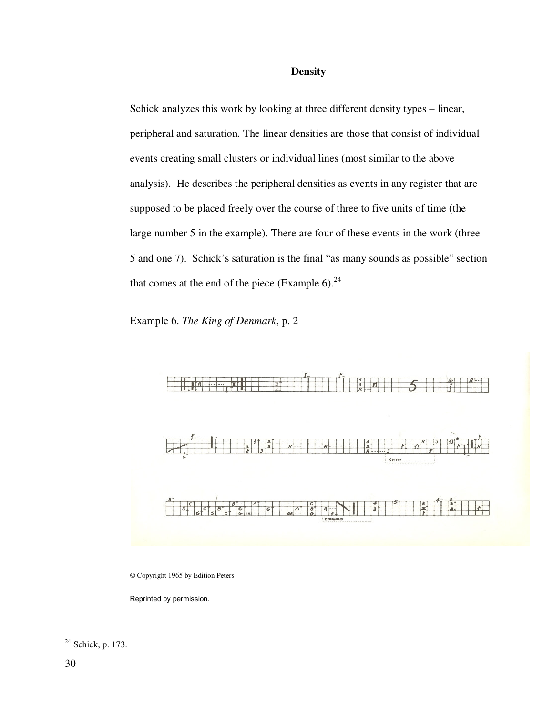## **Density**

Schick analyzes this work by looking at three different density types – linear, peripheral and saturation. The linear densities are those that consist of individual events creating small clusters or individual lines (most similar to the above analysis). He describes the peripheral densities as events in any register that are supposed to be placed freely over the course of three to five units of time (the large number 5 in the example). There are four of these events in the work (three 5 and one 7). Schick's saturation is the final "as many sounds as possible" section that comes at the end of the piece (Example 6). $^{24}$ 

Example 6. *The King of Denmark*, p. 2



© Copyright 1965 by Edition Peters

Reprinted by permission.

<sup>-</sup> $24$  Schick, p. 173.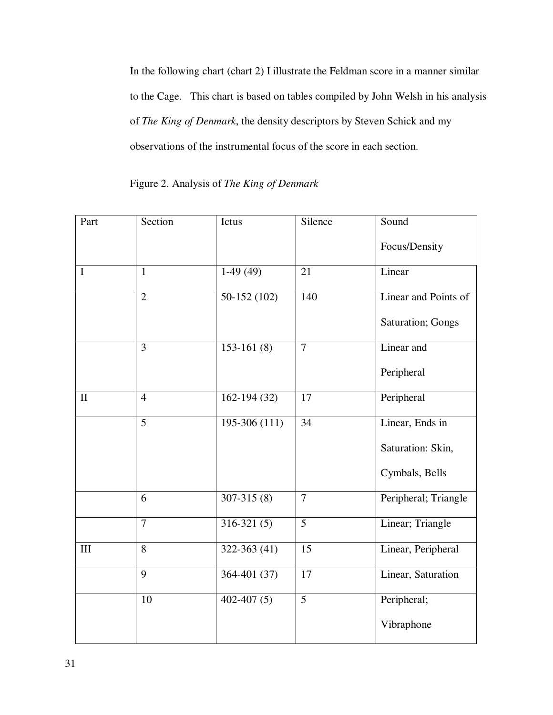In the following chart (chart 2) I illustrate the Feldman score in a manner similar to the Cage. This chart is based on tables compiled by John Welsh in his analysis of *The King of Denmark*, the density descriptors by Steven Schick and my observations of the instrumental focus of the score in each section.

Figure 2. Analysis of *The King of Denmark*

| Part         | Section        | Ictus           | Silence        | Sound                     |
|--------------|----------------|-----------------|----------------|---------------------------|
|              |                |                 |                | Focus/Density             |
| $\mathbf I$  | $\mathbf{1}$   | $1-49(49)$      | 21             | Linear                    |
|              | $\overline{2}$ | $50-152(102)$   | 140            | Linear and Points of      |
|              |                |                 |                | <b>Saturation</b> ; Gongs |
|              | $\overline{3}$ | $153-161(8)$    | $\overline{7}$ | Linear and                |
|              |                |                 |                | Peripheral                |
| $\mathbf{I}$ | $\overline{4}$ | $162 - 194(32)$ | 17             | Peripheral                |
|              | 5              | $195-306(111)$  | 34             | Linear, Ends in           |
|              |                |                 |                | Saturation: Skin,         |
|              |                |                 |                | Cymbals, Bells            |
|              | 6              | $307 - 315(8)$  | $\overline{7}$ | Peripheral; Triangle      |
|              | $\overline{7}$ | $316-321(5)$    | 5              | Linear; Triangle          |
| III          | 8              | $322 - 363(41)$ | 15             | Linear, Peripheral        |
|              | 9              | 364-401 (37)    | 17             | Linear, Saturation        |
|              | 10             | $402 - 407(5)$  | 5              | Peripheral;               |
|              |                |                 |                | Vibraphone                |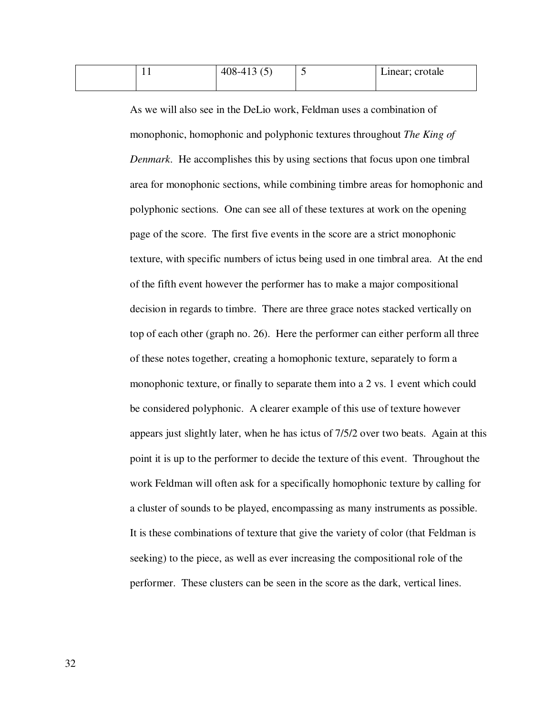| . . | 408-413.6<br>$100 - 12$ | . . | Linear; crotale |
|-----|-------------------------|-----|-----------------|
|     |                         |     |                 |

As we will also see in the DeLio work, Feldman uses a combination of monophonic, homophonic and polyphonic textures throughout *The King of Denmark*. He accomplishes this by using sections that focus upon one timbral area for monophonic sections, while combining timbre areas for homophonic and polyphonic sections. One can see all of these textures at work on the opening page of the score. The first five events in the score are a strict monophonic texture, with specific numbers of ictus being used in one timbral area. At the end of the fifth event however the performer has to make a major compositional decision in regards to timbre. There are three grace notes stacked vertically on top of each other (graph no. 26). Here the performer can either perform all three of these notes together, creating a homophonic texture, separately to form a monophonic texture, or finally to separate them into a 2 vs. 1 event which could be considered polyphonic. A clearer example of this use of texture however appears just slightly later, when he has ictus of 7/5/2 over two beats. Again at this point it is up to the performer to decide the texture of this event. Throughout the work Feldman will often ask for a specifically homophonic texture by calling for a cluster of sounds to be played, encompassing as many instruments as possible. It is these combinations of texture that give the variety of color (that Feldman is seeking) to the piece, as well as ever increasing the compositional role of the performer. These clusters can be seen in the score as the dark, vertical lines.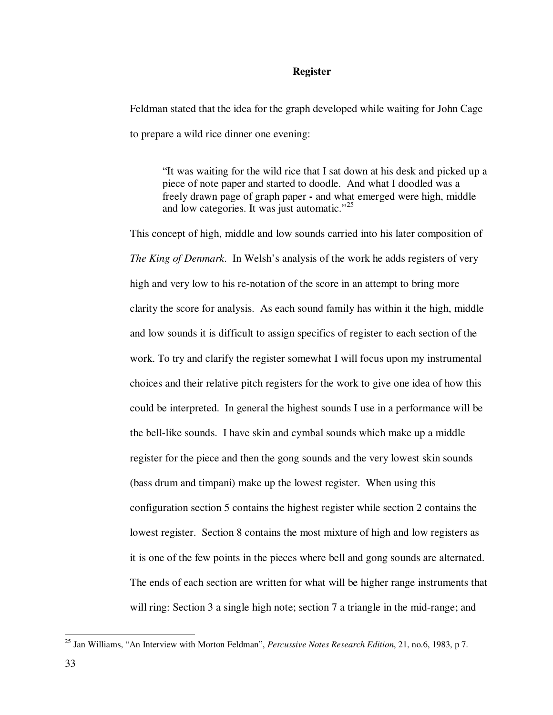#### **Register**

Feldman stated that the idea for the graph developed while waiting for John Cage to prepare a wild rice dinner one evening:

"It was waiting for the wild rice that I sat down at his desk and picked up a piece of note paper and started to doodle. And what I doodled was a freely drawn page of graph paper **-** and what emerged were high, middle and low categories. It was just automatic."<sup>25</sup>

This concept of high, middle and low sounds carried into his later composition of *The King of Denmark*. In Welsh's analysis of the work he adds registers of very high and very low to his re-notation of the score in an attempt to bring more clarity the score for analysis. As each sound family has within it the high, middle and low sounds it is difficult to assign specifics of register to each section of the work. To try and clarify the register somewhat I will focus upon my instrumental choices and their relative pitch registers for the work to give one idea of how this could be interpreted. In general the highest sounds I use in a performance will be the bell-like sounds. I have skin and cymbal sounds which make up a middle register for the piece and then the gong sounds and the very lowest skin sounds (bass drum and timpani) make up the lowest register. When using this configuration section 5 contains the highest register while section 2 contains the lowest register. Section 8 contains the most mixture of high and low registers as it is one of the few points in the pieces where bell and gong sounds are alternated. The ends of each section are written for what will be higher range instruments that will ring: Section 3 a single high note; section 7 a triangle in the mid-range; and

<sup>25</sup> Jan Williams, "An Interview with Morton Feldman", *Percussive Notes Research Edition*, 21, no.6, 1983, p 7.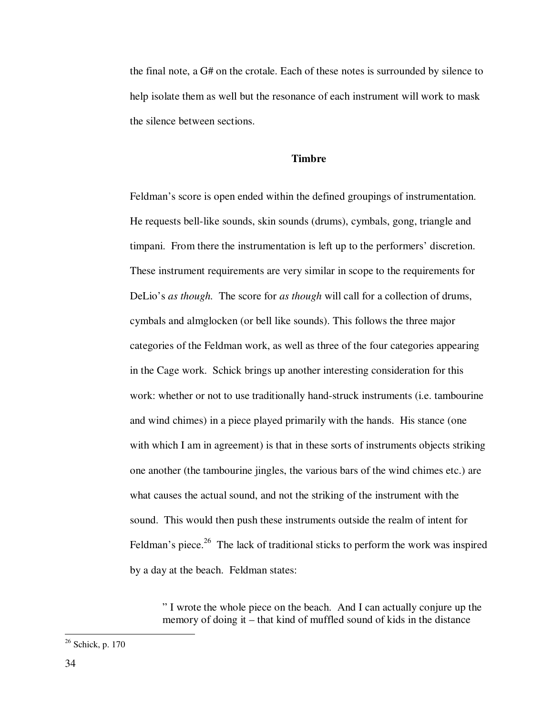the final note, a G# on the crotale. Each of these notes is surrounded by silence to help isolate them as well but the resonance of each instrument will work to mask the silence between sections.

## **Timbre**

Feldman's score is open ended within the defined groupings of instrumentation. He requests bell-like sounds, skin sounds (drums), cymbals, gong, triangle and timpani. From there the instrumentation is left up to the performers' discretion. These instrument requirements are very similar in scope to the requirements for DeLio's *as though.* The score for *as though* will call for a collection of drums, cymbals and almglocken (or bell like sounds). This follows the three major categories of the Feldman work, as well as three of the four categories appearing in the Cage work. Schick brings up another interesting consideration for this work: whether or not to use traditionally hand-struck instruments (i.e. tambourine and wind chimes) in a piece played primarily with the hands. His stance (one with which I am in agreement) is that in these sorts of instruments objects striking one another (the tambourine jingles, the various bars of the wind chimes etc.) are what causes the actual sound, and not the striking of the instrument with the sound. This would then push these instruments outside the realm of intent for Feldman's piece.<sup>26</sup> The lack of traditional sticks to perform the work was inspired by a day at the beach. Feldman states:

" I wrote the whole piece on the beach. And I can actually conjure up the memory of doing it – that kind of muffled sound of kids in the distance

<sup>&</sup>lt;sup>26</sup> Schick, p. 170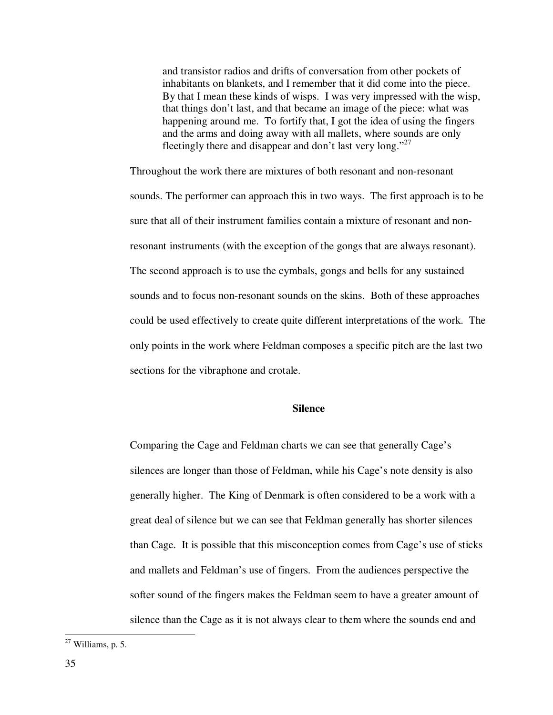and transistor radios and drifts of conversation from other pockets of inhabitants on blankets, and I remember that it did come into the piece. By that I mean these kinds of wisps. I was very impressed with the wisp, that things don't last, and that became an image of the piece: what was happening around me. To fortify that, I got the idea of using the fingers and the arms and doing away with all mallets, where sounds are only fleetingly there and disappear and don't last very long."<sup>27</sup>

Throughout the work there are mixtures of both resonant and non-resonant sounds. The performer can approach this in two ways. The first approach is to be sure that all of their instrument families contain a mixture of resonant and nonresonant instruments (with the exception of the gongs that are always resonant). The second approach is to use the cymbals, gongs and bells for any sustained sounds and to focus non-resonant sounds on the skins. Both of these approaches could be used effectively to create quite different interpretations of the work. The only points in the work where Feldman composes a specific pitch are the last two sections for the vibraphone and crotale.

#### **Silence**

Comparing the Cage and Feldman charts we can see that generally Cage's silences are longer than those of Feldman, while his Cage's note density is also generally higher. The King of Denmark is often considered to be a work with a great deal of silence but we can see that Feldman generally has shorter silences than Cage. It is possible that this misconception comes from Cage's use of sticks and mallets and Feldman's use of fingers. From the audiences perspective the softer sound of the fingers makes the Feldman seem to have a greater amount of silence than the Cage as it is not always clear to them where the sounds end and

 $27$  Williams, p. 5.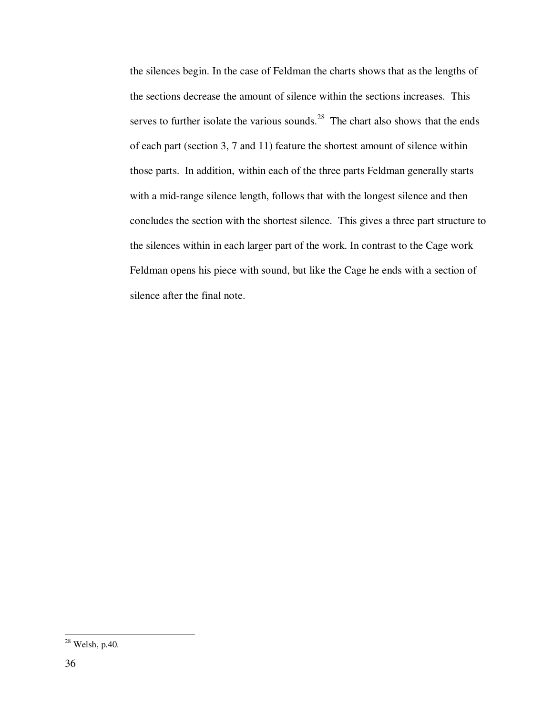the silences begin. In the case of Feldman the charts shows that as the lengths of the sections decrease the amount of silence within the sections increases. This serves to further isolate the various sounds. $^{28}$  The chart also shows that the ends of each part (section 3, 7 and 11) feature the shortest amount of silence within those parts. In addition, within each of the three parts Feldman generally starts with a mid-range silence length, follows that with the longest silence and then concludes the section with the shortest silence. This gives a three part structure to the silences within in each larger part of the work. In contrast to the Cage work Feldman opens his piece with sound, but like the Cage he ends with a section of silence after the final note.

 $28$  Welsh, p.40.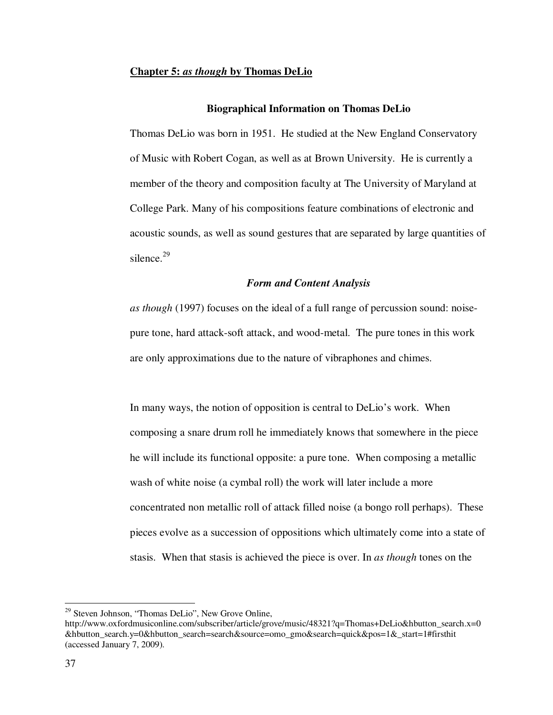#### **Chapter 5:** *as though* **by Thomas DeLio**

#### **Biographical Information on Thomas DeLio**

Thomas DeLio was born in 1951. He studied at the New England Conservatory of Music with Robert Cogan, as well as at Brown University. He is currently a member of the theory and composition faculty at The University of Maryland at College Park. Many of his compositions feature combinations of electronic and acoustic sounds, as well as sound gestures that are separated by large quantities of silence.<sup>29</sup>

### *Form and Content Analysis*

*as though* (1997) focuses on the ideal of a full range of percussion sound: noisepure tone, hard attack-soft attack, and wood-metal. The pure tones in this work are only approximations due to the nature of vibraphones and chimes.

In many ways, the notion of opposition is central to DeLio's work. When composing a snare drum roll he immediately knows that somewhere in the piece he will include its functional opposite: a pure tone. When composing a metallic wash of white noise (a cymbal roll) the work will later include a more concentrated non metallic roll of attack filled noise (a bongo roll perhaps). These pieces evolve as a succession of oppositions which ultimately come into a state of stasis. When that stasis is achieved the piece is over. In *as though* tones on the

<sup>&</sup>lt;sup>29</sup> Steven Johnson, "Thomas DeLio", New Grove Online,

http://www.oxfordmusiconline.com/subscriber/article/grove/music/48321?q=Thomas+DeLio&hbutton\_search.x=0 &hbutton\_search.y=0&hbutton\_search=search&source=omo\_gmo&search=quick&pos=1&\_start=1#firsthit (accessed January 7, 2009).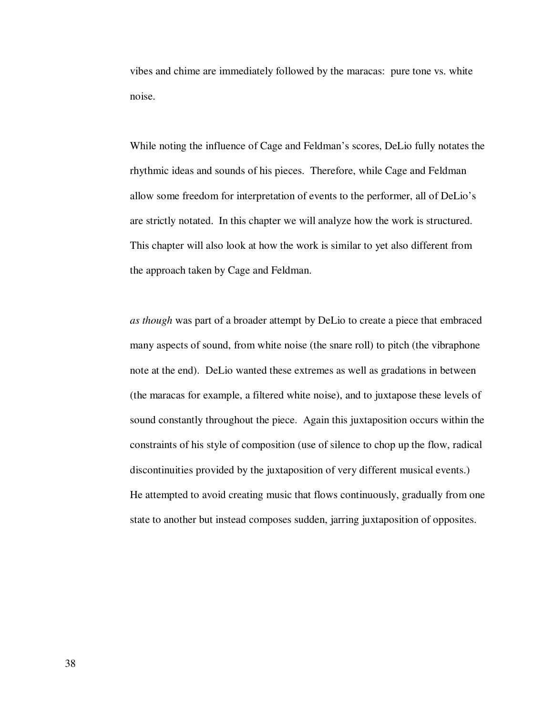vibes and chime are immediately followed by the maracas: pure tone vs. white noise.

While noting the influence of Cage and Feldman's scores, DeLio fully notates the rhythmic ideas and sounds of his pieces. Therefore, while Cage and Feldman allow some freedom for interpretation of events to the performer, all of DeLio's are strictly notated. In this chapter we will analyze how the work is structured. This chapter will also look at how the work is similar to yet also different from the approach taken by Cage and Feldman.

*as though* was part of a broader attempt by DeLio to create a piece that embraced many aspects of sound, from white noise (the snare roll) to pitch (the vibraphone note at the end). DeLio wanted these extremes as well as gradations in between (the maracas for example, a filtered white noise), and to juxtapose these levels of sound constantly throughout the piece. Again this juxtaposition occurs within the constraints of his style of composition (use of silence to chop up the flow, radical discontinuities provided by the juxtaposition of very different musical events.) He attempted to avoid creating music that flows continuously, gradually from one state to another but instead composes sudden, jarring juxtaposition of opposites.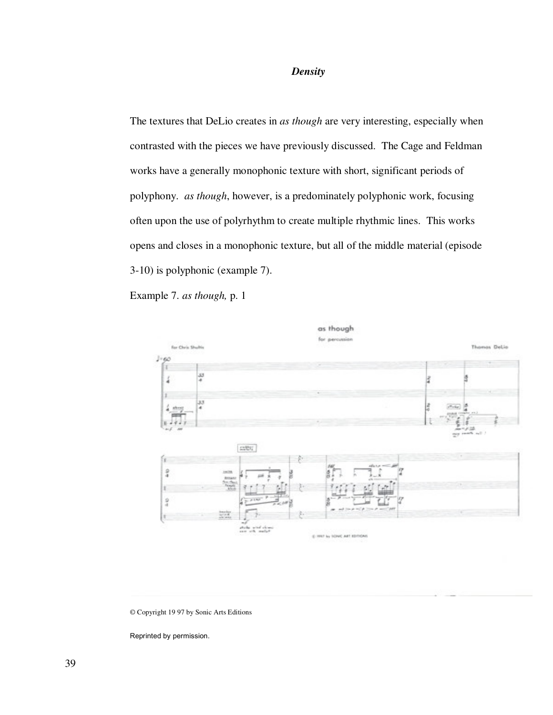## *Density*

The textures that DeLio creates in *as though* are very interesting, especially when contrasted with the pieces we have previously discussed. The Cage and Feldman works have a generally monophonic texture with short, significant periods of polyphony. *as though*, however, is a predominately polyphonic work, focusing often upon the use of polyrhythm to create multiple rhythmic lines. This works opens and closes in a monophonic texture, but all of the middle material (episode 3-10) is polyphonic (example 7).

Example 7. *as though,* p. 1



#### © Copyright 19 97 by Sonic Arts Editions

Reprinted by permission.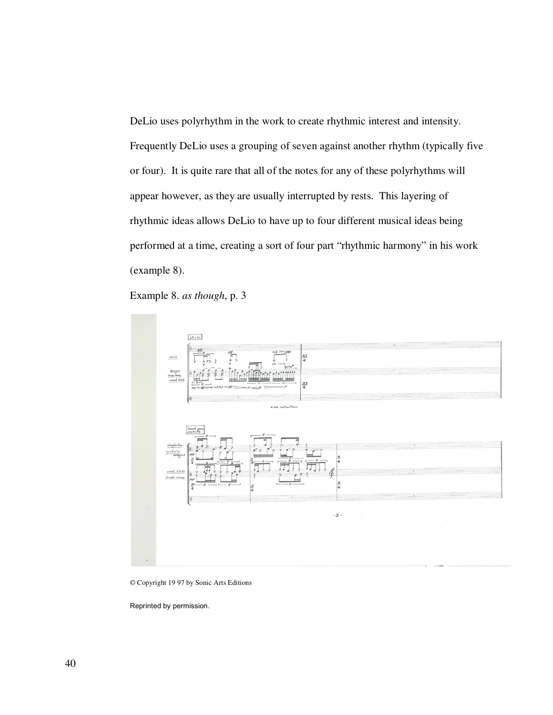DeLio uses polyrhythm in the work to create rhythmic interest and intensity. Frequently DeLio uses a grouping of seven against another rhythm (typically five or four). It is quite rare that all of the notes for any of these polyrhythms will appear however, as they are usually interrupted by rests. This layering of rhythmic ideas allows DeLio to have up to four different musical ideas being performed at a time, creating a sort of four part "rhythmic harmony" in his work (example 8).

Example 8. *as though*, p. 3



© Copyright 19 97 by Sonic Arts Editions

Reprinted by permission.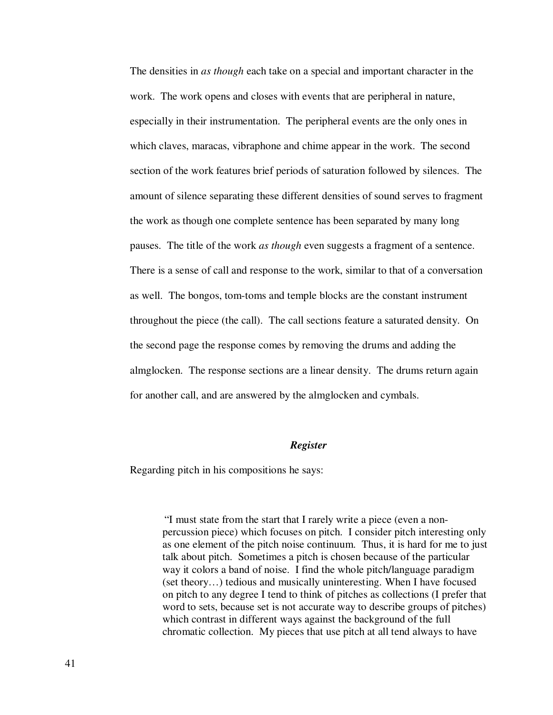The densities in *as though* each take on a special and important character in the work. The work opens and closes with events that are peripheral in nature, especially in their instrumentation. The peripheral events are the only ones in which claves, maracas, vibraphone and chime appear in the work. The second section of the work features brief periods of saturation followed by silences. The amount of silence separating these different densities of sound serves to fragment the work as though one complete sentence has been separated by many long pauses. The title of the work *as though* even suggests a fragment of a sentence. There is a sense of call and response to the work, similar to that of a conversation as well. The bongos, tom-toms and temple blocks are the constant instrument throughout the piece (the call). The call sections feature a saturated density. On the second page the response comes by removing the drums and adding the almglocken. The response sections are a linear density. The drums return again for another call, and are answered by the almglocken and cymbals.

#### *Register*

Regarding pitch in his compositions he says:

"I must state from the start that I rarely write a piece (even a nonpercussion piece) which focuses on pitch. I consider pitch interesting only as one element of the pitch noise continuum. Thus, it is hard for me to just talk about pitch. Sometimes a pitch is chosen because of the particular way it colors a band of noise. I find the whole pitch/language paradigm (set theory…) tedious and musically uninteresting. When I have focused on pitch to any degree I tend to think of pitches as collections (I prefer that word to sets, because set is not accurate way to describe groups of pitches) which contrast in different ways against the background of the full chromatic collection. My pieces that use pitch at all tend always to have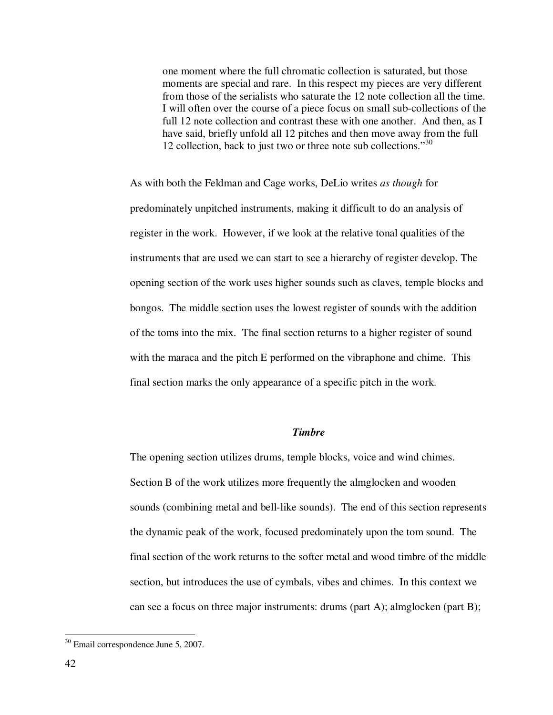one moment where the full chromatic collection is saturated, but those moments are special and rare. In this respect my pieces are very different from those of the serialists who saturate the 12 note collection all the time. I will often over the course of a piece focus on small sub-collections of the full 12 note collection and contrast these with one another. And then, as I have said, briefly unfold all 12 pitches and then move away from the full 12 collection, back to just two or three note sub collections."<sup>30</sup>

As with both the Feldman and Cage works, DeLio writes *as though* for predominately unpitched instruments, making it difficult to do an analysis of register in the work. However, if we look at the relative tonal qualities of the instruments that are used we can start to see a hierarchy of register develop. The opening section of the work uses higher sounds such as claves, temple blocks and bongos. The middle section uses the lowest register of sounds with the addition of the toms into the mix. The final section returns to a higher register of sound with the maraca and the pitch E performed on the vibraphone and chime. This final section marks the only appearance of a specific pitch in the work.

## *Timbre*

The opening section utilizes drums, temple blocks, voice and wind chimes. Section B of the work utilizes more frequently the almglocken and wooden sounds (combining metal and bell-like sounds). The end of this section represents the dynamic peak of the work, focused predominately upon the tom sound. The final section of the work returns to the softer metal and wood timbre of the middle section, but introduces the use of cymbals, vibes and chimes. In this context we can see a focus on three major instruments: drums (part A); almglocken (part B);

<sup>-</sup><sup>30</sup> Email correspondence June 5, 2007.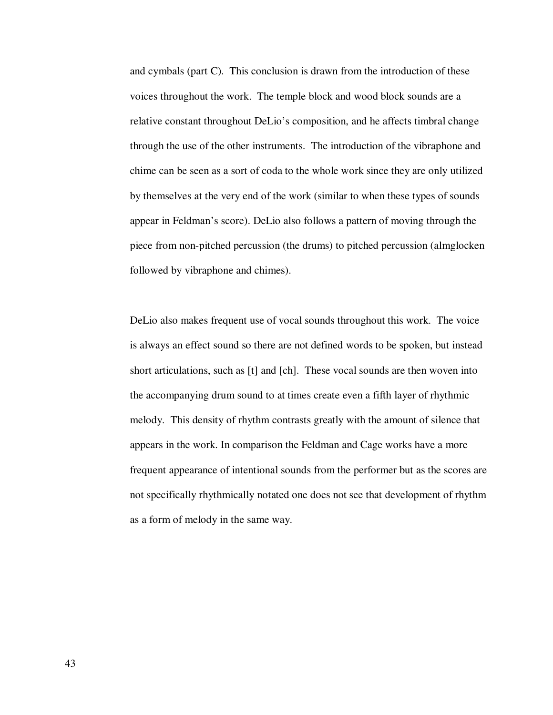and cymbals (part C). This conclusion is drawn from the introduction of these voices throughout the work. The temple block and wood block sounds are a relative constant throughout DeLio's composition, and he affects timbral change through the use of the other instruments. The introduction of the vibraphone and chime can be seen as a sort of coda to the whole work since they are only utilized by themselves at the very end of the work (similar to when these types of sounds appear in Feldman's score). DeLio also follows a pattern of moving through the piece from non-pitched percussion (the drums) to pitched percussion (almglocken followed by vibraphone and chimes).

DeLio also makes frequent use of vocal sounds throughout this work. The voice is always an effect sound so there are not defined words to be spoken, but instead short articulations, such as [t] and [ch]. These vocal sounds are then woven into the accompanying drum sound to at times create even a fifth layer of rhythmic melody. This density of rhythm contrasts greatly with the amount of silence that appears in the work. In comparison the Feldman and Cage works have a more frequent appearance of intentional sounds from the performer but as the scores are not specifically rhythmically notated one does not see that development of rhythm as a form of melody in the same way.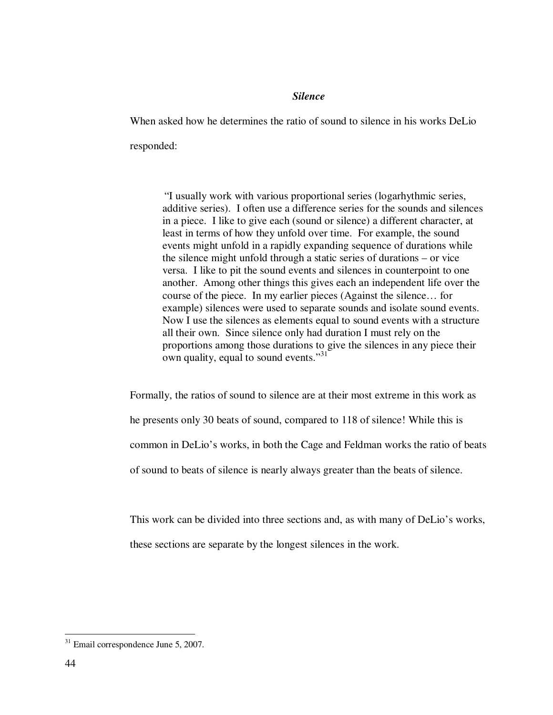### *Silence*

When asked how he determines the ratio of sound to silence in his works DeLio responded:

"I usually work with various proportional series (logarhythmic series, additive series). I often use a difference series for the sounds and silences in a piece. I like to give each (sound or silence) a different character, at least in terms of how they unfold over time. For example, the sound events might unfold in a rapidly expanding sequence of durations while the silence might unfold through a static series of durations – or vice versa. I like to pit the sound events and silences in counterpoint to one another. Among other things this gives each an independent life over the course of the piece. In my earlier pieces (Against the silence… for example) silences were used to separate sounds and isolate sound events. Now I use the silences as elements equal to sound events with a structure all their own. Since silence only had duration I must rely on the proportions among those durations to give the silences in any piece their own quality, equal to sound events."<sup>31</sup>

Formally, the ratios of sound to silence are at their most extreme in this work as he presents only 30 beats of sound, compared to 118 of silence! While this is common in DeLio's works, in both the Cage and Feldman works the ratio of beats of sound to beats of silence is nearly always greater than the beats of silence.

This work can be divided into three sections and, as with many of DeLio's works, these sections are separate by the longest silences in the work.

<sup>-</sup> $31$  Email correspondence June 5, 2007.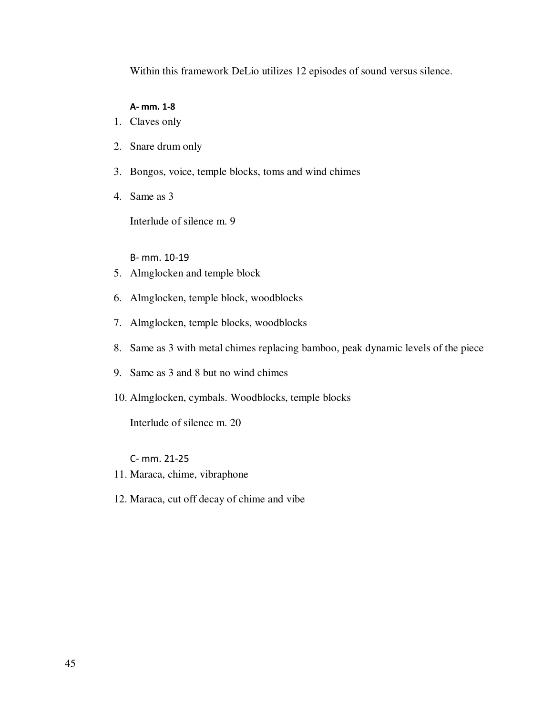Within this framework DeLio utilizes 12 episodes of sound versus silence.

#### A- mm. 1-8

- 1. Claves only
- 2. Snare drum only
- 3. Bongos, voice, temple blocks, toms and wind chimes
- 4. Same as 3

Interlude of silence m. 9

B- mm. 10-19

- 5. Almglocken and temple block
- 6. Almglocken, temple block, woodblocks
- 7. Almglocken, temple blocks, woodblocks
- 8. Same as 3 with metal chimes replacing bamboo, peak dynamic levels of the piece
- 9. Same as 3 and 8 but no wind chimes
- 10. Almglocken, cymbals. Woodblocks, temple blocks

Interlude of silence m. 20

C- mm. 21-25

- 11. Maraca, chime, vibraphone
- 12. Maraca, cut off decay of chime and vibe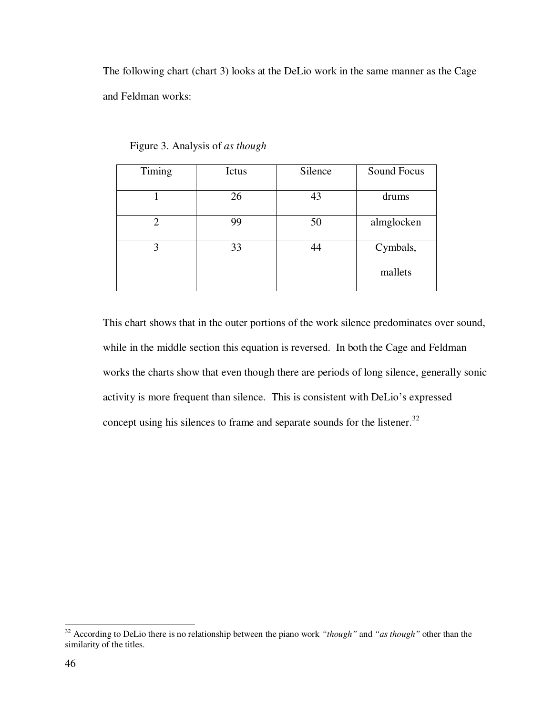The following chart (chart 3) looks at the DeLio work in the same manner as the Cage and Feldman works:

| Timing | Ictus | Silence | Sound Focus         |
|--------|-------|---------|---------------------|
|        | 26    | 43      | drums               |
| 2      | 99    | 50      | almglocken          |
| 3      | 33    | 44      | Cymbals,<br>mallets |

Figure 3. Analysis of *as though*

This chart shows that in the outer portions of the work silence predominates over sound, while in the middle section this equation is reversed. In both the Cage and Feldman works the charts show that even though there are periods of long silence, generally sonic activity is more frequent than silence. This is consistent with DeLio's expressed concept using his silences to frame and separate sounds for the listener.<sup>32</sup>

<sup>32</sup> According to DeLio there is no relationship between the piano work *"though"* and *"as though"* other than the similarity of the titles.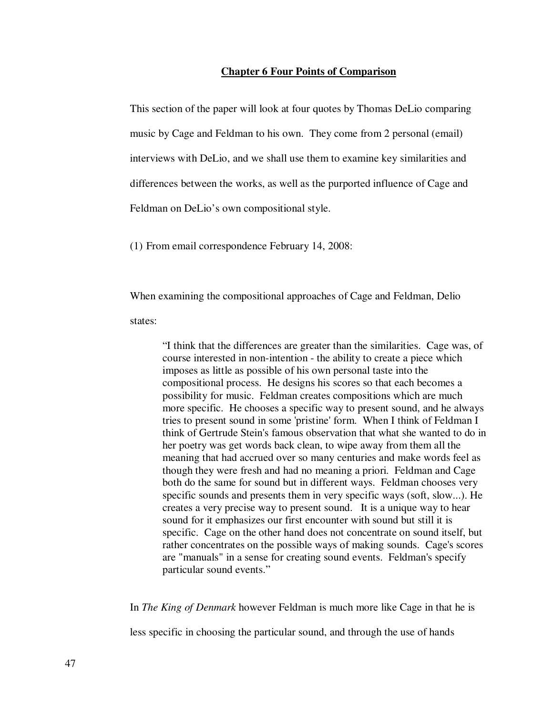#### **Chapter 6 Four Points of Comparison**

This section of the paper will look at four quotes by Thomas DeLio comparing music by Cage and Feldman to his own. They come from 2 personal (email) interviews with DeLio, and we shall use them to examine key similarities and differences between the works, as well as the purported influence of Cage and Feldman on DeLio's own compositional style.

(1) From email correspondence February 14, 2008:

When examining the compositional approaches of Cage and Feldman, Delio

states:

"I think that the differences are greater than the similarities. Cage was, of course interested in non-intention - the ability to create a piece which imposes as little as possible of his own personal taste into the compositional process. He designs his scores so that each becomes a possibility for music. Feldman creates compositions which are much more specific. He chooses a specific way to present sound, and he always tries to present sound in some 'pristine' form. When I think of Feldman I think of Gertrude Stein's famous observation that what she wanted to do in her poetry was get words back clean, to wipe away from them all the meaning that had accrued over so many centuries and make words feel as though they were fresh and had no meaning a priori. Feldman and Cage both do the same for sound but in different ways. Feldman chooses very specific sounds and presents them in very specific ways (soft, slow...). He creates a very precise way to present sound. It is a unique way to hear sound for it emphasizes our first encounter with sound but still it is specific. Cage on the other hand does not concentrate on sound itself, but rather concentrates on the possible ways of making sounds. Cage's scores are "manuals" in a sense for creating sound events. Feldman's specify particular sound events."

In *The King of Denmark* however Feldman is much more like Cage in that he is less specific in choosing the particular sound, and through the use of hands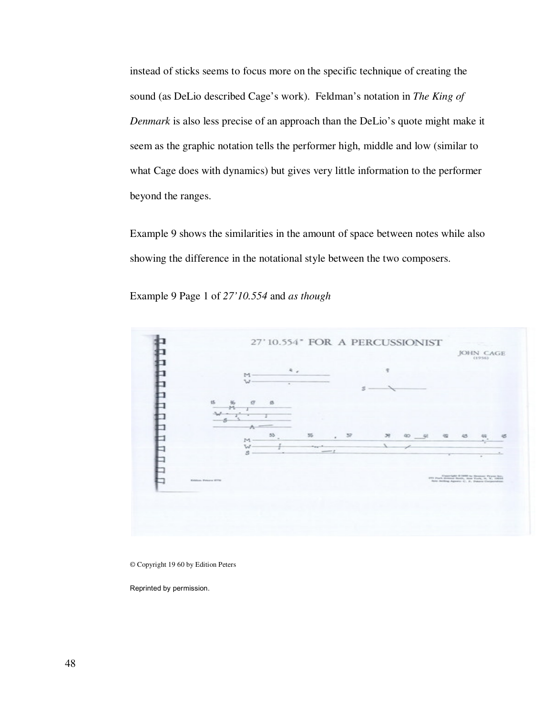instead of sticks seems to focus more on the specific technique of creating the sound (as DeLio described Cage's work). Feldman's notation in *The King of Denmark* is also less precise of an approach than the DeLio's quote might make it seem as the graphic notation tells the performer high, middle and low (similar to what Cage does with dynamics) but gives very little information to the performer beyond the ranges.

Example 9 shows the similarities in the amount of space between notes while also showing the difference in the notational style between the two composers.





© Copyright 19 60 by Edition Peters

Reprinted by permission.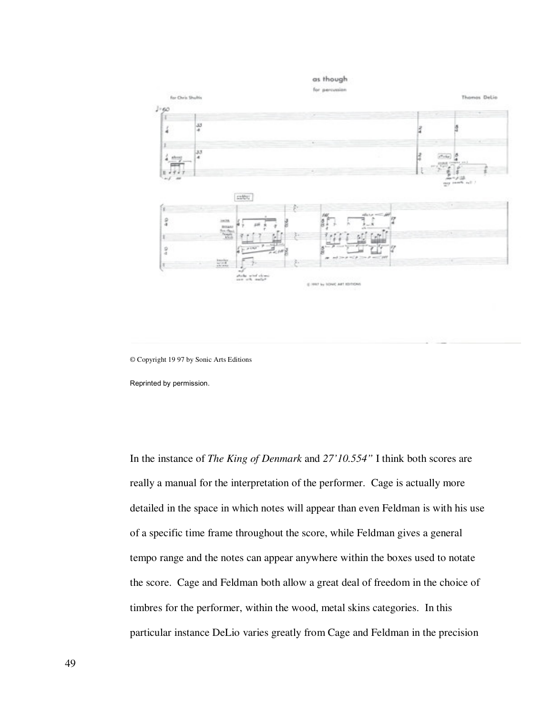

© Copyright 19 97 by Sonic Arts Editions

Reprinted by permission.

In the instance of *The King of Denmark* and *27'10.554"* I think both scores are really a manual for the interpretation of the performer. Cage is actually more detailed in the space in which notes will appear than even Feldman is with his use of a specific time frame throughout the score, while Feldman gives a general tempo range and the notes can appear anywhere within the boxes used to notate the score. Cage and Feldman both allow a great deal of freedom in the choice of timbres for the performer, within the wood, metal skins categories. In this particular instance DeLio varies greatly from Cage and Feldman in the precision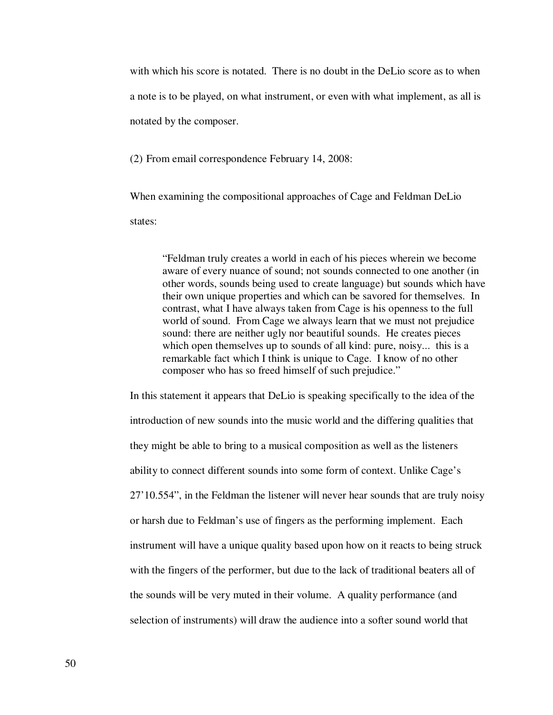with which his score is notated. There is no doubt in the DeLio score as to when a note is to be played, on what instrument, or even with what implement, as all is notated by the composer.

(2) From email correspondence February 14, 2008:

When examining the compositional approaches of Cage and Feldman DeLio

states:

"Feldman truly creates a world in each of his pieces wherein we become aware of every nuance of sound; not sounds connected to one another (in other words, sounds being used to create language) but sounds which have their own unique properties and which can be savored for themselves. In contrast, what I have always taken from Cage is his openness to the full world of sound. From Cage we always learn that we must not prejudice sound: there are neither ugly nor beautiful sounds. He creates pieces which open themselves up to sounds of all kind: pure, noisy... this is a remarkable fact which I think is unique to Cage. I know of no other composer who has so freed himself of such prejudice."

In this statement it appears that DeLio is speaking specifically to the idea of the introduction of new sounds into the music world and the differing qualities that they might be able to bring to a musical composition as well as the listeners ability to connect different sounds into some form of context. Unlike Cage's 27'10.554", in the Feldman the listener will never hear sounds that are truly noisy or harsh due to Feldman's use of fingers as the performing implement. Each instrument will have a unique quality based upon how on it reacts to being struck with the fingers of the performer, but due to the lack of traditional beaters all of the sounds will be very muted in their volume. A quality performance (and selection of instruments) will draw the audience into a softer sound world that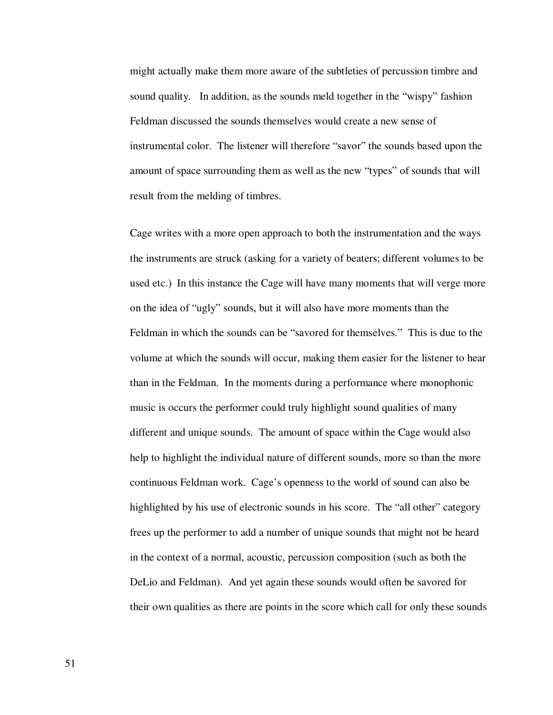might actually make them more aware of the subtleties of percussion timbre and sound quality. In addition, as the sounds meld together in the "wispy" fashion Feldman discussed the sounds themselves would create a new sense of instrumental color. The listener will therefore "savor" the sounds based upon the amount of space surrounding them as well as the new "types" of sounds that will result from the melding of timbres.

Cage writes with a more open approach to both the instrumentation and the ways the instruments are struck (asking for a variety of beaters; different volumes to be used etc.) In this instance the Cage will have many moments that will verge more on the idea of "ugly" sounds, but it will also have more moments than the Feldman in which the sounds can be "savored for themselves." This is due to the volume at which the sounds will occur, making them easier for the listener to hear than in the Feldman. In the moments during a performance where monophonic music is occurs the performer could truly highlight sound qualities of many different and unique sounds. The amount of space within the Cage would also help to highlight the individual nature of different sounds, more so than the more continuous Feldman work. Cage's openness to the world of sound can also be highlighted by his use of electronic sounds in his score. The "all other" category frees up the performer to add a number of unique sounds that might not be heard in the context of a normal, acoustic, percussion composition (such as both the DeLio and Feldman). And yet again these sounds would often be savored for their own qualities as there are points in the score which call for only these sounds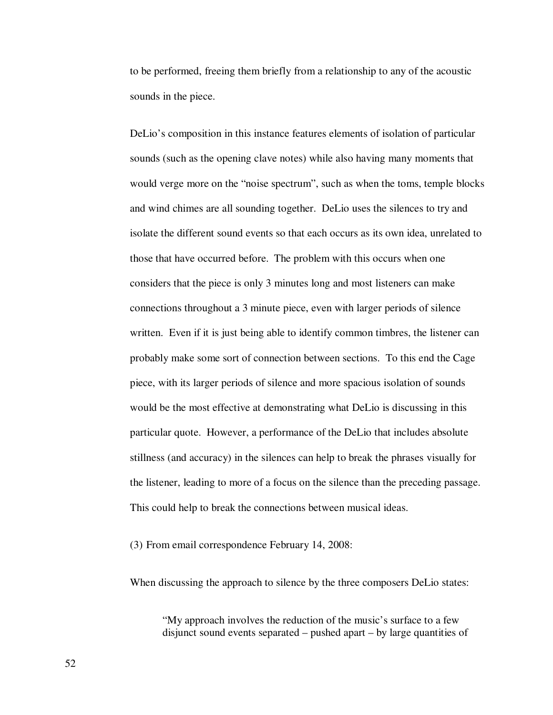to be performed, freeing them briefly from a relationship to any of the acoustic sounds in the piece.

DeLio's composition in this instance features elements of isolation of particular sounds (such as the opening clave notes) while also having many moments that would verge more on the "noise spectrum", such as when the toms, temple blocks and wind chimes are all sounding together. DeLio uses the silences to try and isolate the different sound events so that each occurs as its own idea, unrelated to those that have occurred before. The problem with this occurs when one considers that the piece is only 3 minutes long and most listeners can make connections throughout a 3 minute piece, even with larger periods of silence written. Even if it is just being able to identify common timbres, the listener can probably make some sort of connection between sections. To this end the Cage piece, with its larger periods of silence and more spacious isolation of sounds would be the most effective at demonstrating what DeLio is discussing in this particular quote. However, a performance of the DeLio that includes absolute stillness (and accuracy) in the silences can help to break the phrases visually for the listener, leading to more of a focus on the silence than the preceding passage. This could help to break the connections between musical ideas.

(3) From email correspondence February 14, 2008:

When discussing the approach to silence by the three composers DeLio states:

"My approach involves the reduction of the music's surface to a few disjunct sound events separated – pushed apart – by large quantities of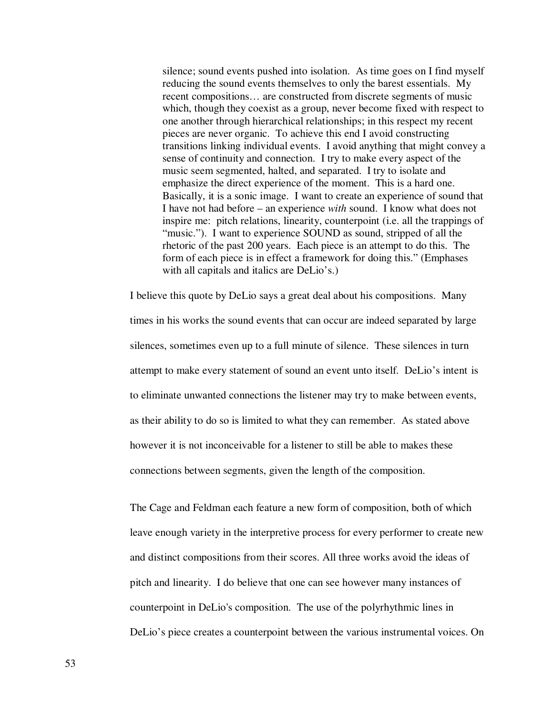silence; sound events pushed into isolation. As time goes on I find myself reducing the sound events themselves to only the barest essentials. My recent compositions… are constructed from discrete segments of music which, though they coexist as a group, never become fixed with respect to one another through hierarchical relationships; in this respect my recent pieces are never organic. To achieve this end I avoid constructing transitions linking individual events. I avoid anything that might convey a sense of continuity and connection. I try to make every aspect of the music seem segmented, halted, and separated. I try to isolate and emphasize the direct experience of the moment. This is a hard one. Basically, it is a sonic image. I want to create an experience of sound that I have not had before – an experience *with* sound. I know what does not inspire me: pitch relations, linearity, counterpoint (i.e. all the trappings of "music."). I want to experience SOUND as sound, stripped of all the rhetoric of the past 200 years. Each piece is an attempt to do this. The form of each piece is in effect a framework for doing this." (Emphases with all capitals and italics are DeLio's.)

I believe this quote by DeLio says a great deal about his compositions. Many times in his works the sound events that can occur are indeed separated by large silences, sometimes even up to a full minute of silence. These silences in turn attempt to make every statement of sound an event unto itself. DeLio's intent is to eliminate unwanted connections the listener may try to make between events, as their ability to do so is limited to what they can remember. As stated above however it is not inconceivable for a listener to still be able to makes these connections between segments, given the length of the composition.

The Cage and Feldman each feature a new form of composition, both of which leave enough variety in the interpretive process for every performer to create new and distinct compositions from their scores. All three works avoid the ideas of pitch and linearity. I do believe that one can see however many instances of counterpoint in DeLio's composition. The use of the polyrhythmic lines in DeLio's piece creates a counterpoint between the various instrumental voices. On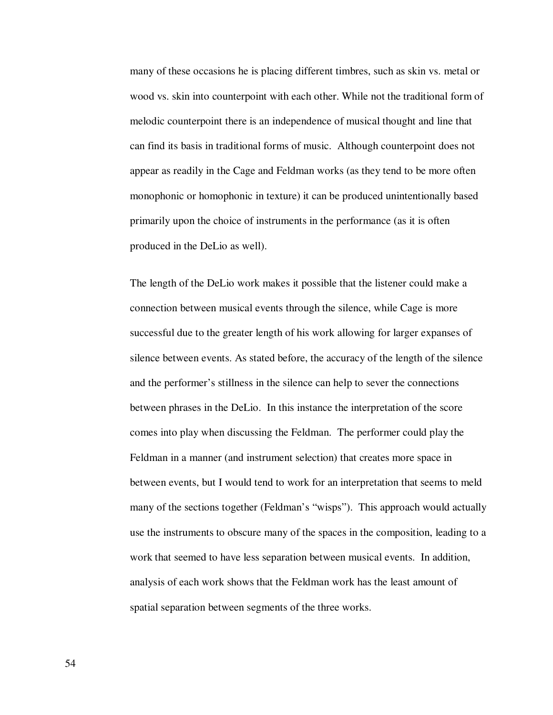many of these occasions he is placing different timbres, such as skin vs. metal or wood vs. skin into counterpoint with each other. While not the traditional form of melodic counterpoint there is an independence of musical thought and line that can find its basis in traditional forms of music. Although counterpoint does not appear as readily in the Cage and Feldman works (as they tend to be more often monophonic or homophonic in texture) it can be produced unintentionally based primarily upon the choice of instruments in the performance (as it is often produced in the DeLio as well).

The length of the DeLio work makes it possible that the listener could make a connection between musical events through the silence, while Cage is more successful due to the greater length of his work allowing for larger expanses of silence between events. As stated before, the accuracy of the length of the silence and the performer's stillness in the silence can help to sever the connections between phrases in the DeLio. In this instance the interpretation of the score comes into play when discussing the Feldman. The performer could play the Feldman in a manner (and instrument selection) that creates more space in between events, but I would tend to work for an interpretation that seems to meld many of the sections together (Feldman's "wisps"). This approach would actually use the instruments to obscure many of the spaces in the composition, leading to a work that seemed to have less separation between musical events. In addition, analysis of each work shows that the Feldman work has the least amount of spatial separation between segments of the three works.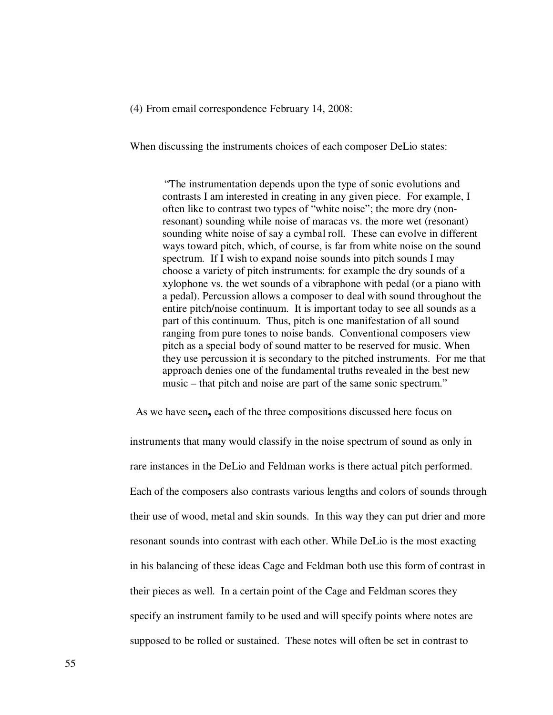(4) From email correspondence February 14, 2008:

When discussing the instruments choices of each composer DeLio states:

"The instrumentation depends upon the type of sonic evolutions and contrasts I am interested in creating in any given piece. For example, I often like to contrast two types of "white noise"; the more dry (nonresonant) sounding while noise of maracas vs. the more wet (resonant) sounding white noise of say a cymbal roll. These can evolve in different ways toward pitch, which, of course, is far from white noise on the sound spectrum. If I wish to expand noise sounds into pitch sounds I may choose a variety of pitch instruments: for example the dry sounds of a xylophone vs. the wet sounds of a vibraphone with pedal (or a piano with a pedal). Percussion allows a composer to deal with sound throughout the entire pitch/noise continuum. It is important today to see all sounds as a part of this continuum. Thus, pitch is one manifestation of all sound ranging from pure tones to noise bands. Conventional composers view pitch as a special body of sound matter to be reserved for music. When they use percussion it is secondary to the pitched instruments. For me that approach denies one of the fundamental truths revealed in the best new music – that pitch and noise are part of the same sonic spectrum."

As we have seen**,** each of the three compositions discussed here focus on

instruments that many would classify in the noise spectrum of sound as only in rare instances in the DeLio and Feldman works is there actual pitch performed. Each of the composers also contrasts various lengths and colors of sounds through their use of wood, metal and skin sounds. In this way they can put drier and more resonant sounds into contrast with each other. While DeLio is the most exacting in his balancing of these ideas Cage and Feldman both use this form of contrast in their pieces as well. In a certain point of the Cage and Feldman scores they specify an instrument family to be used and will specify points where notes are supposed to be rolled or sustained. These notes will often be set in contrast to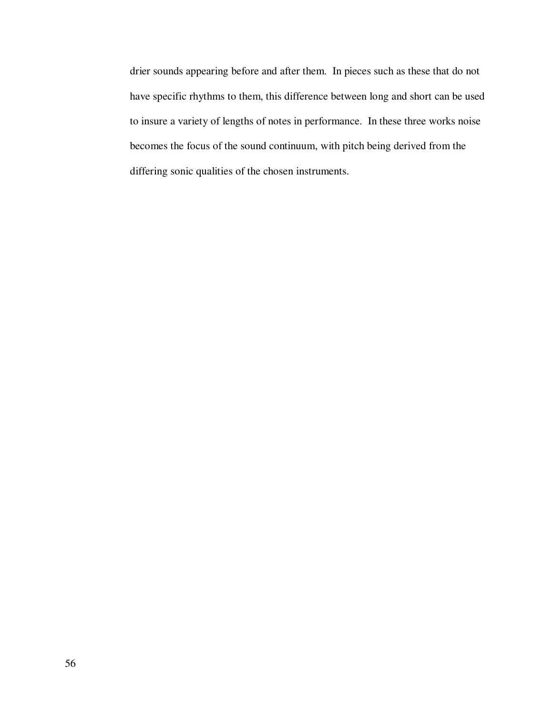drier sounds appearing before and after them. In pieces such as these that do not have specific rhythms to them, this difference between long and short can be used to insure a variety of lengths of notes in performance. In these three works noise becomes the focus of the sound continuum, with pitch being derived from the differing sonic qualities of the chosen instruments.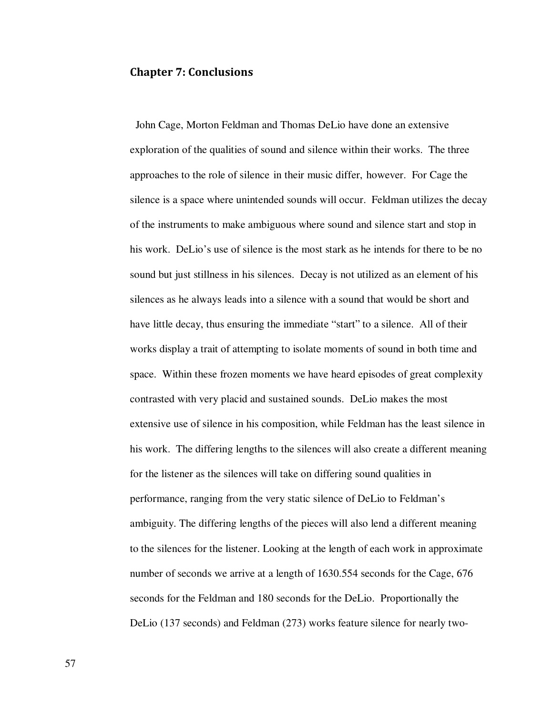# Chapter 7: Conclusions

 John Cage, Morton Feldman and Thomas DeLio have done an extensive exploration of the qualities of sound and silence within their works. The three approaches to the role of silence in their music differ, however. For Cage the silence is a space where unintended sounds will occur. Feldman utilizes the decay of the instruments to make ambiguous where sound and silence start and stop in his work. DeLio's use of silence is the most stark as he intends for there to be no sound but just stillness in his silences. Decay is not utilized as an element of his silences as he always leads into a silence with a sound that would be short and have little decay, thus ensuring the immediate "start" to a silence. All of their works display a trait of attempting to isolate moments of sound in both time and space. Within these frozen moments we have heard episodes of great complexity contrasted with very placid and sustained sounds. DeLio makes the most extensive use of silence in his composition, while Feldman has the least silence in his work. The differing lengths to the silences will also create a different meaning for the listener as the silences will take on differing sound qualities in performance, ranging from the very static silence of DeLio to Feldman's ambiguity. The differing lengths of the pieces will also lend a different meaning to the silences for the listener. Looking at the length of each work in approximate number of seconds we arrive at a length of 1630.554 seconds for the Cage, 676 seconds for the Feldman and 180 seconds for the DeLio. Proportionally the DeLio (137 seconds) and Feldman (273) works feature silence for nearly two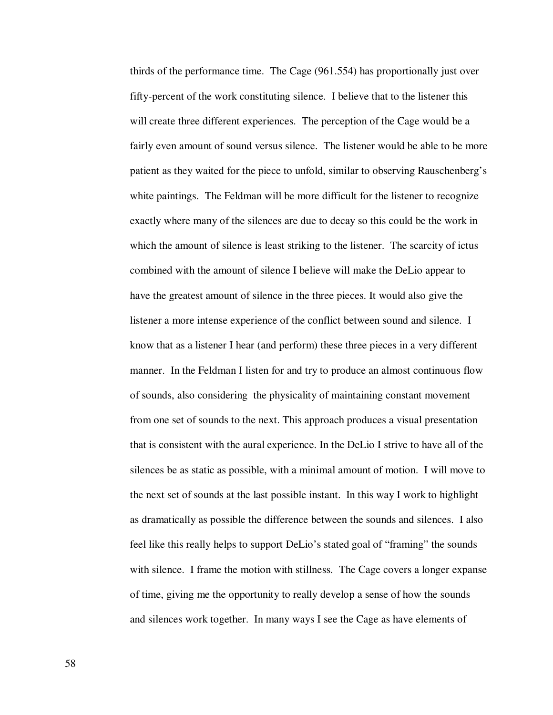thirds of the performance time. The Cage (961.554) has proportionally just over fifty-percent of the work constituting silence. I believe that to the listener this will create three different experiences. The perception of the Cage would be a fairly even amount of sound versus silence. The listener would be able to be more patient as they waited for the piece to unfold, similar to observing Rauschenberg's white paintings. The Feldman will be more difficult for the listener to recognize exactly where many of the silences are due to decay so this could be the work in which the amount of silence is least striking to the listener. The scarcity of ictus combined with the amount of silence I believe will make the DeLio appear to have the greatest amount of silence in the three pieces. It would also give the listener a more intense experience of the conflict between sound and silence. I know that as a listener I hear (and perform) these three pieces in a very different manner. In the Feldman I listen for and try to produce an almost continuous flow of sounds, also considering the physicality of maintaining constant movement from one set of sounds to the next. This approach produces a visual presentation that is consistent with the aural experience. In the DeLio I strive to have all of the silences be as static as possible, with a minimal amount of motion. I will move to the next set of sounds at the last possible instant. In this way I work to highlight as dramatically as possible the difference between the sounds and silences. I also feel like this really helps to support DeLio's stated goal of "framing" the sounds with silence. I frame the motion with stillness. The Cage covers a longer expanse of time, giving me the opportunity to really develop a sense of how the sounds and silences work together. In many ways I see the Cage as have elements of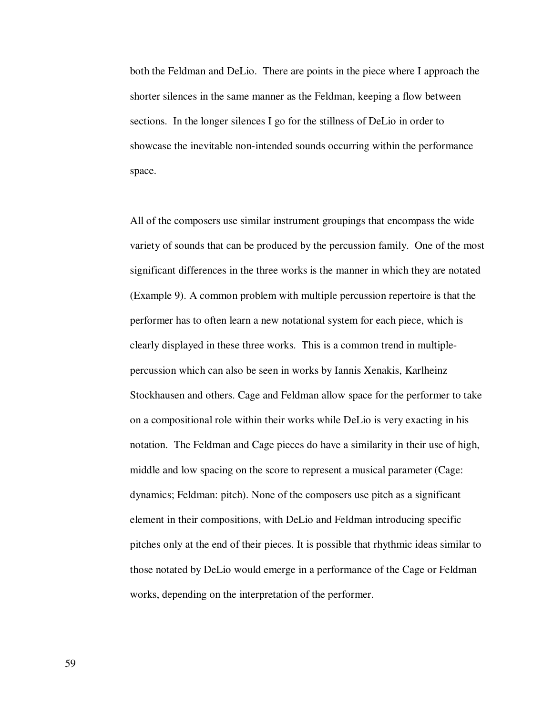both the Feldman and DeLio. There are points in the piece where I approach the shorter silences in the same manner as the Feldman, keeping a flow between sections. In the longer silences I go for the stillness of DeLio in order to showcase the inevitable non-intended sounds occurring within the performance space.

All of the composers use similar instrument groupings that encompass the wide variety of sounds that can be produced by the percussion family. One of the most significant differences in the three works is the manner in which they are notated (Example 9). A common problem with multiple percussion repertoire is that the performer has to often learn a new notational system for each piece, which is clearly displayed in these three works. This is a common trend in multiplepercussion which can also be seen in works by Iannis Xenakis, Karlheinz Stockhausen and others. Cage and Feldman allow space for the performer to take on a compositional role within their works while DeLio is very exacting in his notation. The Feldman and Cage pieces do have a similarity in their use of high, middle and low spacing on the score to represent a musical parameter (Cage: dynamics; Feldman: pitch). None of the composers use pitch as a significant element in their compositions, with DeLio and Feldman introducing specific pitches only at the end of their pieces. It is possible that rhythmic ideas similar to those notated by DeLio would emerge in a performance of the Cage or Feldman works, depending on the interpretation of the performer.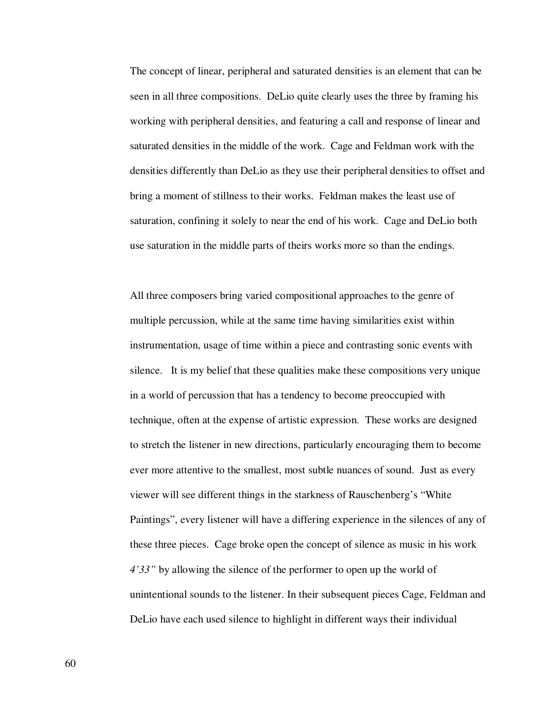The concept of linear, peripheral and saturated densities is an element that can be seen in all three compositions. DeLio quite clearly uses the three by framing his working with peripheral densities, and featuring a call and response of linear and saturated densities in the middle of the work. Cage and Feldman work with the densities differently than DeLio as they use their peripheral densities to offset and bring a moment of stillness to their works. Feldman makes the least use of saturation, confining it solely to near the end of his work. Cage and DeLio both use saturation in the middle parts of theirs works more so than the endings.

All three composers bring varied compositional approaches to the genre of multiple percussion, while at the same time having similarities exist within instrumentation, usage of time within a piece and contrasting sonic events with silence. It is my belief that these qualities make these compositions very unique in a world of percussion that has a tendency to become preoccupied with technique, often at the expense of artistic expression. These works are designed to stretch the listener in new directions, particularly encouraging them to become ever more attentive to the smallest, most subtle nuances of sound. Just as every viewer will see different things in the starkness of Rauschenberg's "White Paintings", every listener will have a differing experience in the silences of any of these three pieces. Cage broke open the concept of silence as music in his work *4'33"* by allowing the silence of the performer to open up the world of unintentional sounds to the listener. In their subsequent pieces Cage, Feldman and DeLio have each used silence to highlight in different ways their individual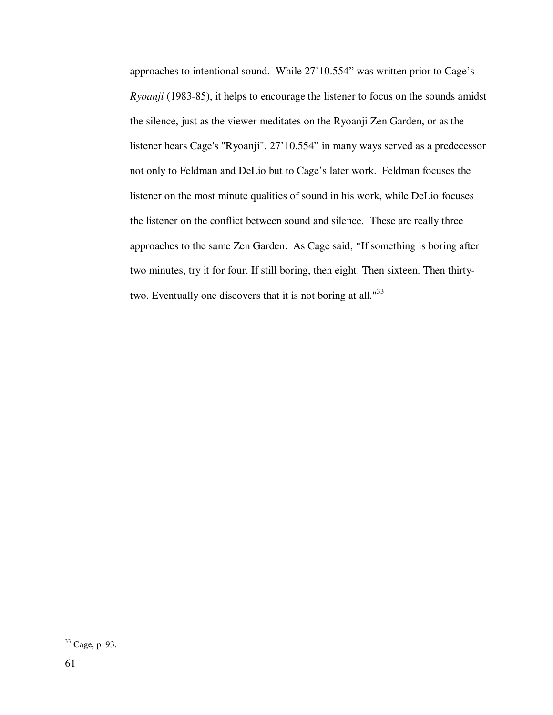approaches to intentional sound. While 27'10.554" was written prior to Cage's *Ryoanji* (1983-85), it helps to encourage the listener to focus on the sounds amidst the silence, just as the viewer meditates on the Ryoanji Zen Garden, or as the listener hears Cage's "Ryoanji". 27'10.554" in many ways served as a predecessor not only to Feldman and DeLio but to Cage's later work. Feldman focuses the listener on the most minute qualities of sound in his work, while DeLio focuses the listener on the conflict between sound and silence. These are really three approaches to the same Zen Garden. As Cage said, "If something is boring after two minutes, try it for four. If still boring, then eight. Then sixteen. Then thirtytwo. Eventually one discovers that it is not boring at all."<sup>33</sup>

-

<sup>33</sup> Cage, p. 93.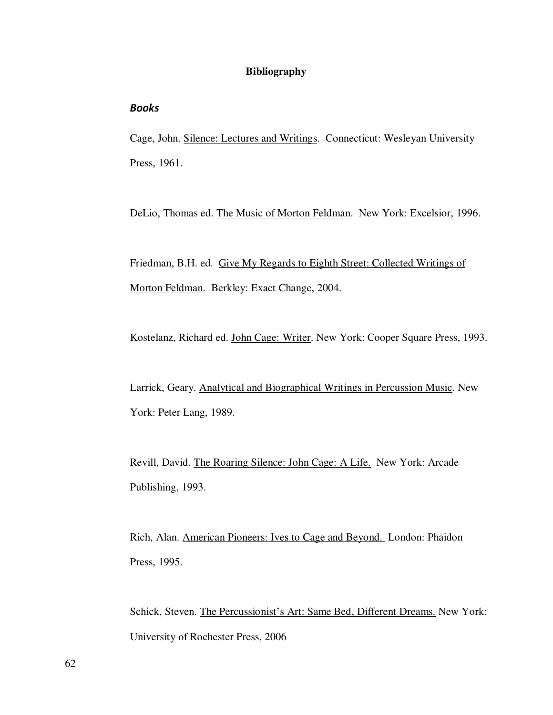## **Bibliography**

### Books

Cage, John. Silence: Lectures and Writings. Connecticut: Wesleyan University Press, 1961.

DeLio, Thomas ed. The Music of Morton Feldman. New York: Excelsior, 1996.

Friedman, B.H. ed. Give My Regards to Eighth Street: Collected Writings of Morton Feldman. Berkley: Exact Change, 2004.

Kostelanz, Richard ed. John Cage: Writer. New York: Cooper Square Press, 1993.

Larrick, Geary. Analytical and Biographical Writings in Percussion Music. New York: Peter Lang, 1989.

Revill, David. The Roaring Silence: John Cage: A Life. New York: Arcade Publishing, 1993.

Rich, Alan. American Pioneers: Ives to Cage and Beyond. London: Phaidon Press, 1995.

Schick, Steven. The Percussionist's Art: Same Bed, Different Dreams. New York: University of Rochester Press, 2006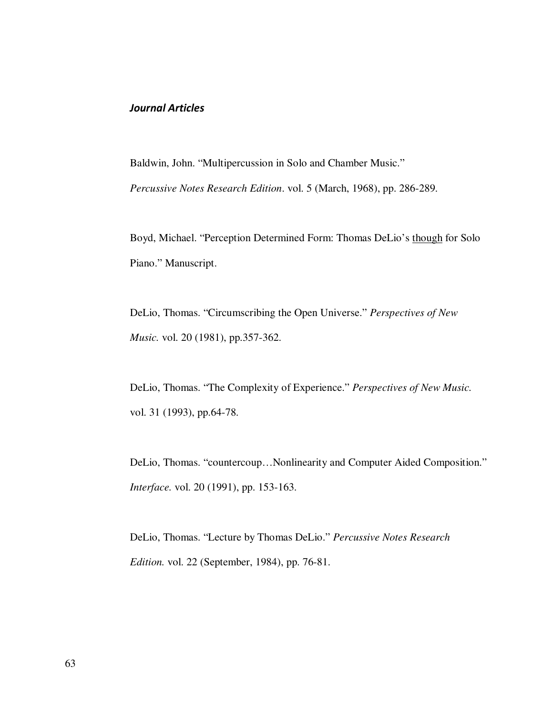### Journal Articles

Baldwin, John. "Multipercussion in Solo and Chamber Music."

*Percussive Notes Research Edition*. vol. 5 (March, 1968), pp. 286-289.

Boyd, Michael. "Perception Determined Form: Thomas DeLio's though for Solo Piano." Manuscript.

DeLio, Thomas. "Circumscribing the Open Universe." *Perspectives of New Music.* vol. 20 (1981), pp.357-362.

DeLio, Thomas. "The Complexity of Experience." *Perspectives of New Music.*  vol. 31 (1993), pp.64-78.

DeLio, Thomas. "countercoup…Nonlinearity and Computer Aided Composition." *Interface.* vol. 20 (1991), pp. 153-163.

DeLio, Thomas. "Lecture by Thomas DeLio." *Percussive Notes Research Edition.* vol. 22 (September, 1984), pp. 76-81.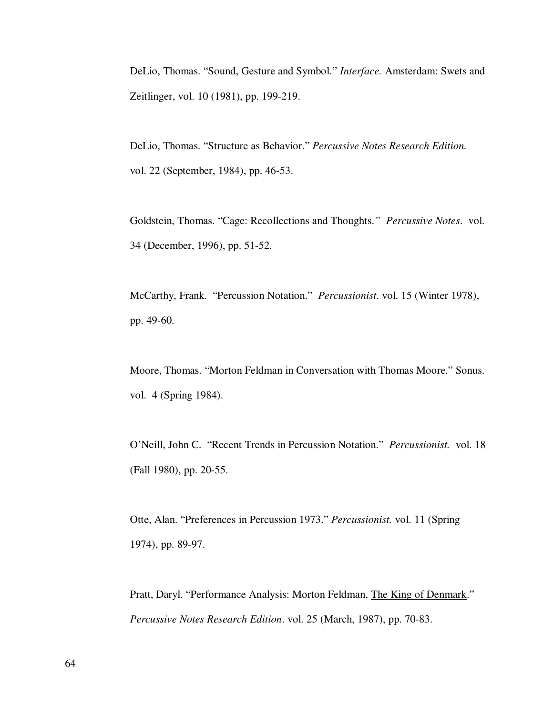DeLio, Thomas. "Sound, Gesture and Symbol." *Interface.* Amsterdam: Swets and Zeitlinger, vol. 10 (1981), pp. 199-219.

DeLio, Thomas. "Structure as Behavior." *Percussive Notes Research Edition.*  vol. 22 (September, 1984), pp. 46-53.

Goldstein, Thomas. "Cage: Recollections and Thoughts.*" Percussive Notes*. vol. 34 (December, 1996), pp. 51-52.

McCarthy, Frank. "Percussion Notation." *Percussionist*. vol. 15 (Winter 1978), pp. 49-60.

Moore, Thomas. "Morton Feldman in Conversation with Thomas Moore." Sonus. vol. 4 (Spring 1984).

O'Neill, John C. "Recent Trends in Percussion Notation." *Percussionist.* vol. 18 (Fall 1980), pp. 20-55.

Otte, Alan. "Preferences in Percussion 1973." *Percussionist.* vol. 11 (Spring 1974), pp. 89-97.

Pratt, Daryl. "Performance Analysis: Morton Feldman, The King of Denmark." *Percussive Notes Research Edition*. vol. 25 (March, 1987), pp. 70-83.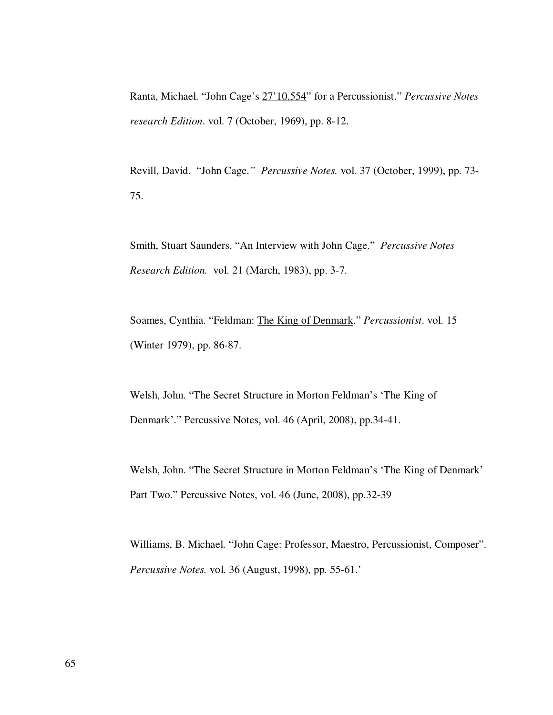Ranta, Michael. "John Cage's 27'10.554" for a Percussionist." *Percussive Notes research Edition*. vol. 7 (October, 1969), pp. 8-12.

Revill, David. "John Cage.*" Percussive Notes.* vol. 37 (October, 1999), pp. 73- 75.

Smith, Stuart Saunders. "An Interview with John Cage." *Percussive Notes Research Edition.* vol. 21 (March, 1983), pp. 3-7.

Soames, Cynthia. "Feldman: The King of Denmark." *Percussionist*. vol. 15 (Winter 1979), pp. 86-87.

Welsh, John. "The Secret Structure in Morton Feldman's 'The King of Denmark'." Percussive Notes, vol. 46 (April, 2008), pp.34-41.

Welsh, John. "The Secret Structure in Morton Feldman's 'The King of Denmark' Part Two." Percussive Notes, vol. 46 (June, 2008), pp.32-39

Williams, B. Michael. "John Cage: Professor, Maestro, Percussionist, Composer". *Percussive Notes.* vol. 36 (August, 1998), pp. 55-61.'